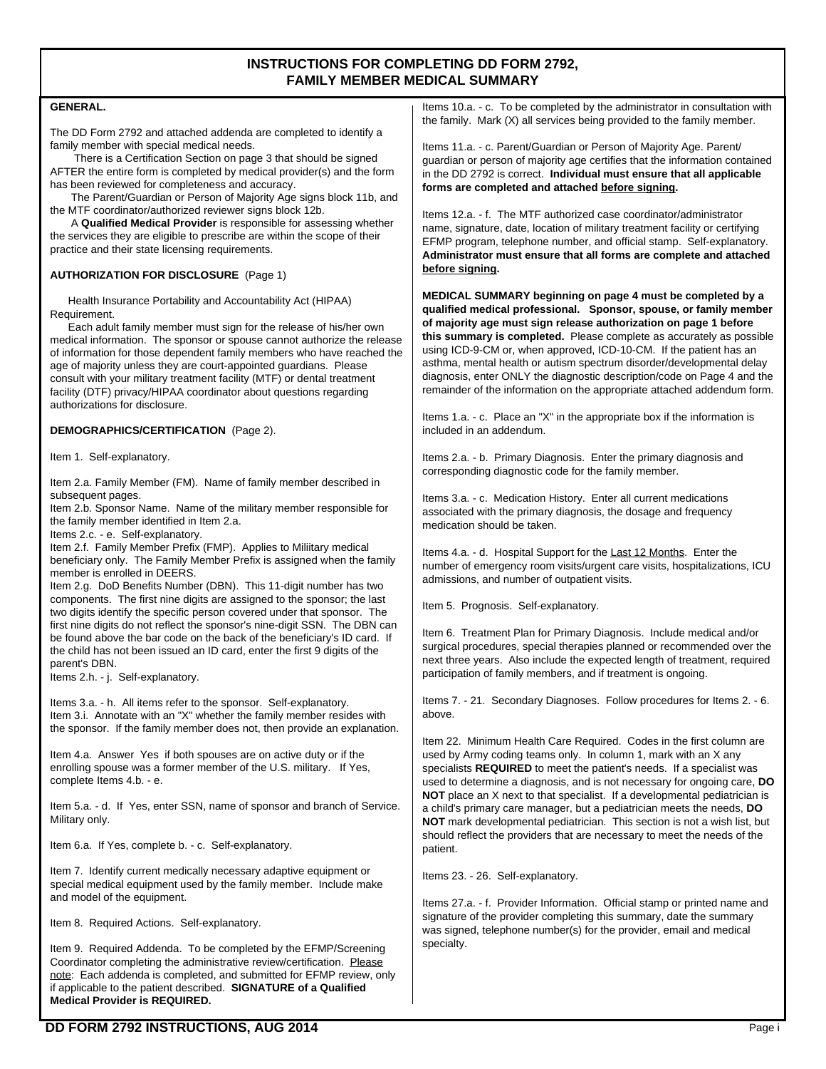# **INSTRUCTIONS FOR COMPLETING DD FORM 2792, FAMILY MEMBER MEDICAL SUMMARY**

### **GENERAL.**

The DD Form 2792 and attached addenda are completed to identify a family member with special medical needs.

 There is a Certification Section on page 3 that should be signed AFTER the entire form is completed by medical provider(s) and the form has been reviewed for completeness and accuracy.

 The Parent/Guardian or Person of Majority Age signs block 11b, and the MTF coordinator/authorized reviewer signs block 12b.

A **Qualified Medical Provider** is responsible for assessing whether the services they are eligible to prescribe are within the scope of their practice and their state licensing requirements.

## **AUTHORIZATION FOR DISCLOSURE** (Page 1)

 Health Insurance Portability and Accountability Act (HIPAA) Requirement.

 Each adult family member must sign for the release of his/her own medical information. The sponsor or spouse cannot authorize the release of information for those dependent family members who have reached the age of majority unless they are court-appointed guardians. Please consult with your military treatment facility (MTF) or dental treatment facility (DTF) privacy/HIPAA coordinator about questions regarding authorizations for disclosure.

## **DEMOGRAPHICS/CERTIFICATION** (Page 2).

Item 1. Self-explanatory.

Item 2.a. Family Member (FM). Name of family member described in subsequent pages.

Item 2.b. Sponsor Name. Name of the military member responsible for the family member identified in Item 2.a.

Items 2.c. - e. Self-explanatory.

Item 2.f. Family Member Prefix (FMP). Applies to Miliitary medical beneficiary only. The Family Member Prefix is assigned when the family member is enrolled in DEERS.

Item 2.g. DoD Benefits Number (DBN). This 11-digit number has two components. The first nine digits are assigned to the sponsor; the last two digits identify the specific person covered under that sponsor. The first nine digits do not reflect the sponsor's nine-digit SSN. The DBN can be found above the bar code on the back of the beneficiary's ID card. If the child has not been issued an ID card, enter the first 9 digits of the parent's DBN.

Items 2.h. - j. Self-explanatory.

Items 3.a. - h. All items refer to the sponsor. Self-explanatory. Item 3.i. Annotate with an "X" whether the family member resides with the sponsor. If the family member does not, then provide an explanation.

Item 4.a. Answer Yes if both spouses are on active duty or if the enrolling spouse was a former member of the U.S. military. If Yes, complete Items 4.b. - e.

Item 5.a. - d. If Yes, enter SSN, name of sponsor and branch of Service. Military only.

Item 6.a. If Yes, complete b. - c. Self-explanatory.

Item 7. Identify current medically necessary adaptive equipment or special medical equipment used by the family member. Include make and model of the equipment.

Item 8. Required Actions. Self-explanatory.

Item 9. Required Addenda. To be completed by the EFMP/Screening Coordinator completing the administrative review/certification. Please note: Each addenda is completed, and submitted for EFMP review, only if applicable to the patient described. **SIGNATURE of a Qualified Medical Provider is REQUIRED.**

Items 10.a. - c. To be completed by the administrator in consultation with the family. Mark (X) all services being provided to the family member.

Items 11.a. - c. Parent/Guardian or Person of Majority Age. Parent/ guardian or person of majority age certifies that the information contained in the DD 2792 is correct. **Individual must ensure that all applicable forms are completed and attached before signing.**

Items 12.a. - f. The MTF authorized case coordinator/administrator name, signature, date, location of military treatment facility or certifying EFMP program, telephone number, and official stamp. Self-explanatory. **Administrator must ensure that all forms are complete and attached before signing.**

**MEDICAL SUMMARY beginning on page 4 must be completed by a qualified medical professional. Sponsor, spouse, or family member of majority age must sign release authorization on page 1 before this summary is completed.** Please complete as accurately as possible using ICD-9-CM or, when approved, ICD-10-CM. If the patient has an asthma, mental health or autism spectrum disorder/developmental delay diagnosis, enter ONLY the diagnostic description/code on Page 4 and the remainder of the information on the appropriate attached addendum form.

Items 1.a. - c. Place an "X" in the appropriate box if the information is included in an addendum.

Items 2.a. - b. Primary Diagnosis. Enter the primary diagnosis and corresponding diagnostic code for the family member.

Items 3.a. - c. Medication History. Enter all current medications associated with the primary diagnosis, the dosage and frequency medication should be taken.

Items 4.a. - d. Hospital Support for the Last 12 Months. Enter the number of emergency room visits/urgent care visits, hospitalizations, ICU admissions, and number of outpatient visits.

Item 5. Prognosis. Self-explanatory.

Item 6. Treatment Plan for Primary Diagnosis. Include medical and/or surgical procedures, special therapies planned or recommended over the next three years. Also include the expected length of treatment, required participation of family members, and if treatment is ongoing.

Items 7. - 21. Secondary Diagnoses. Follow procedures for Items 2. - 6. above.

Item 22. Minimum Health Care Required. Codes in the first column are used by Army coding teams only. In column 1, mark with an X any specialists **REQUIRED** to meet the patient's needs. If a specialist was used to determine a diagnosis, and is not necessary for ongoing care, **DO NOT** place an X next to that specialist. If a developmental pediatrician is a child's primary care manager, but a pediatrician meets the needs, **DO NOT** mark developmental pediatrician. This section is not a wish list, but should reflect the providers that are necessary to meet the needs of the patient.

Items 23. - 26. Self-explanatory.

Items 27.a. - f. Provider Information. Official stamp or printed name and signature of the provider completing this summary, date the summary was signed, telephone number(s) for the provider, email and medical specialty.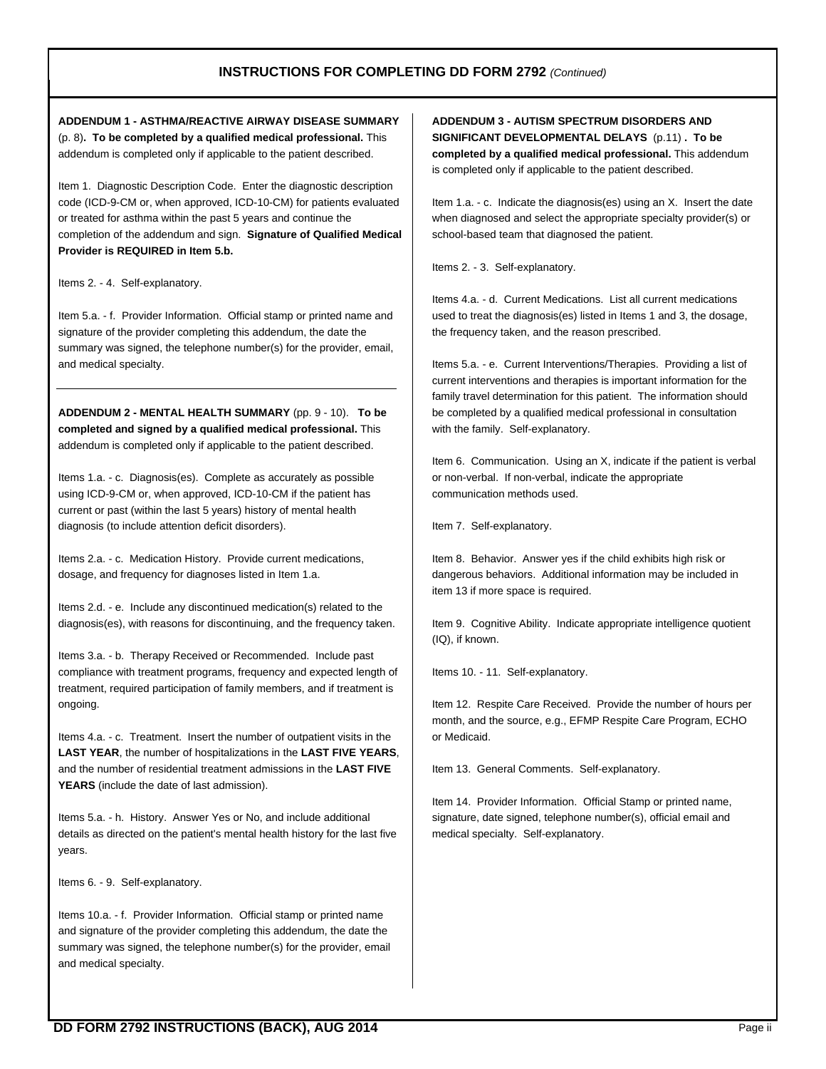# **INSTRUCTIONS FOR COMPLETING DD FORM 2792** *(Continued)*

**ADDENDUM 1 - ASTHMA/REACTIVE AIRWAY DISEASE SUMMARY**  (p. 8)**. To be completed by a qualified medical professional.** This addendum is completed only if applicable to the patient described.

Item 1. Diagnostic Description Code. Enter the diagnostic description code (ICD-9-CM or, when approved, ICD-10-CM) for patients evaluated or treated for asthma within the past 5 years and continue the completion of the addendum and sign. **Signature of Qualified Medical Provider is REQUIRED in Item 5.b.**

Items 2. - 4. Self-explanatory.

Item 5.a. - f. Provider Information. Official stamp or printed name and signature of the provider completing this addendum, the date the summary was signed, the telephone number(s) for the provider, email, and medical specialty.

**ADDENDUM 2 - MENTAL HEALTH SUMMARY** (pp. 9 - 10). **To be completed and signed by a qualified medical professional.** This addendum is completed only if applicable to the patient described.

Items 1.a. - c. Diagnosis(es). Complete as accurately as possible using ICD-9-CM or, when approved, ICD-10-CM if the patient has current or past (within the last 5 years) history of mental health diagnosis (to include attention deficit disorders).

Items 2.a. - c. Medication History. Provide current medications, dosage, and frequency for diagnoses listed in Item 1.a.

Items 2.d. - e. Include any discontinued medication(s) related to the diagnosis(es), with reasons for discontinuing, and the frequency taken.

Items 3.a. - b. Therapy Received or Recommended. Include past compliance with treatment programs, frequency and expected length of treatment, required participation of family members, and if treatment is ongoing.

Items 4.a. - c. Treatment. Insert the number of outpatient visits in the **LAST YEAR**, the number of hospitalizations in the **LAST FIVE YEARS**, and the number of residential treatment admissions in the **LAST FIVE YEARS** (include the date of last admission).

Items 5.a. - h. History. Answer Yes or No, and include additional details as directed on the patient's mental health history for the last five years.

Items 6. - 9. Self-explanatory.

Items 10.a. - f. Provider Information. Official stamp or printed name and signature of the provider completing this addendum, the date the summary was signed, the telephone number(s) for the provider, email and medical specialty.

**ADDENDUM 3 - AUTISM SPECTRUM DISORDERS AND SIGNIFICANT DEVELOPMENTAL DELAYS** (p.11) **. To be completed by a qualified medical professional.** This addendum is completed only if applicable to the patient described.

Item 1.a. - c. Indicate the diagnosis(es) using an X. Insert the date when diagnosed and select the appropriate specialty provider(s) or school-based team that diagnosed the patient.

Items 2. - 3. Self-explanatory.

Items 4.a. - d. Current Medications. List all current medications used to treat the diagnosis(es) listed in Items 1 and 3, the dosage, the frequency taken, and the reason prescribed.

Items 5.a. - e. Current Interventions/Therapies. Providing a list of current interventions and therapies is important information for the family travel determination for this patient. The information should be completed by a qualified medical professional in consultation with the family. Self-explanatory.

Item 6. Communication. Using an X, indicate if the patient is verbal or non-verbal. If non-verbal, indicate the appropriate communication methods used.

Item 7. Self-explanatory.

Item 8. Behavior. Answer yes if the child exhibits high risk or dangerous behaviors. Additional information may be included in item 13 if more space is required.

Item 9. Cognitive Ability. Indicate appropriate intelligence quotient (IQ), if known.

Items 10. - 11. Self-explanatory.

Item 12. Respite Care Received. Provide the number of hours per month, and the source, e.g., EFMP Respite Care Program, ECHO or Medicaid.

Item 13. General Comments. Self-explanatory.

Item 14. Provider Information. Official Stamp or printed name, signature, date signed, telephone number(s), official email and medical specialty. Self-explanatory.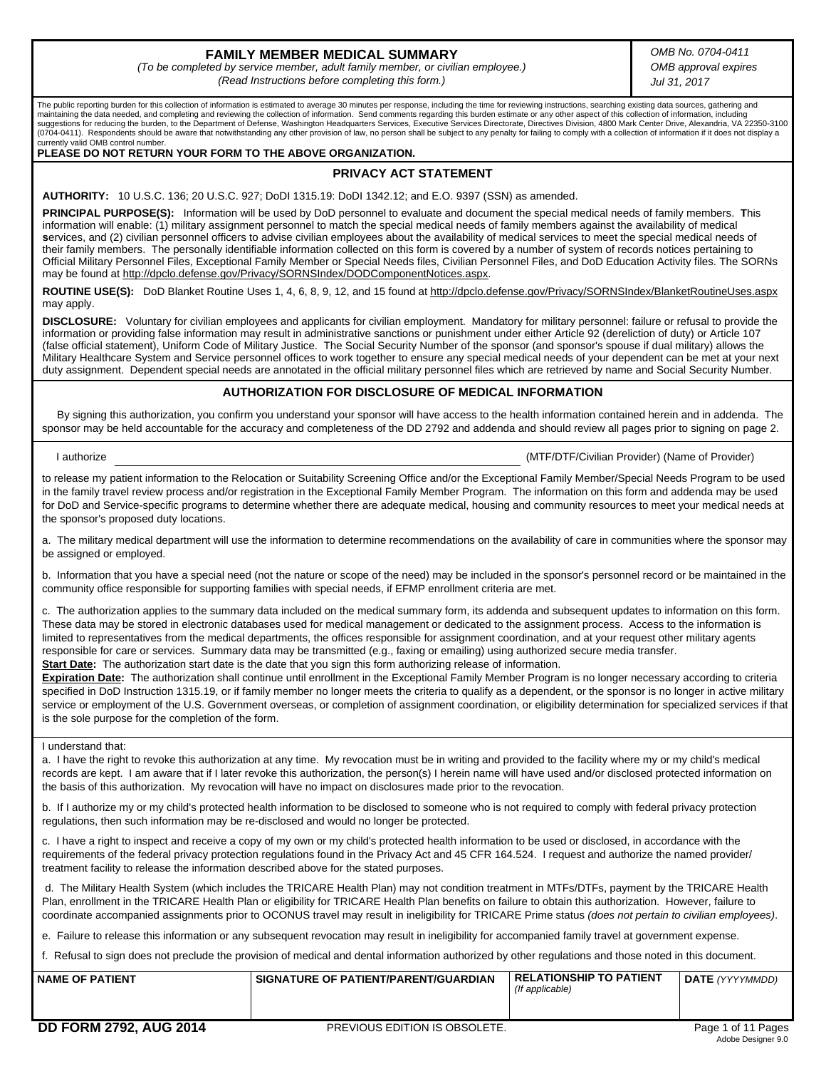# **FAMILY MEMBER MEDICAL SUMMARY**

*(To be completed by service member, adult family member, or civilian employee.) (Read Instructions before completing this form.)*

*OMB No. 0704-0411 OMB approval expires Jul 31, 2017*

The public reporting burden for this collection of information is estimated to average 30 minutes per response, including the time for reviewing instructions, searching existing data sources, gathering and maintaining the data needed, and completing and reviewing the collection of information. Send comments regarding this burden estimate or any other aspect of this collection of information, including suggestions for reducing the burden, to the Department of Defense, Washington Headquarters Services, Executive Services Directorate, Directives Division, 4800 Mark Center Drive, Alexandria, VA 22350-3100 (0704-0411). Respondents should be aware that notwithstanding any other provision of law, no person shall be subject to any penalty for failing to comply with a collection of information if it does not display a currently valid OMB control number.

#### **PLEASE DO NOT RETURN YOUR FORM TO THE ABOVE ORGANIZATION.**

## **PRIVACY ACT STATEMENT**

**AUTHORITY:** 10 U.S.C. 136; 20 U.S.C. 927; DoDI 1315.19: DoDI 1342.12; and E.O. 9397 (SSN) as amended.

**PRINCIPAL PURPOSE(S):** Information will be used by DoD personnel to evaluate and document the special medical needs of family members. **T**his information will enable: (1) military assignment personnel to match the special medical needs of family members against the availability of medical services, and (2) civilian personnel officers to advise civilian employees about the availability of medical services to meet the special medical needs of their family members. The personally identifiable information collected on this form is covered by a number of system of records notices pertaining to Official Military Personnel Files, Exceptional Family Member or Special Needs files, Civilian Personnel Files, and DoD Education Activity files. The SORNs may be found at http://dpclo.defense.gov/Privacy/SORNSIndex/DODComponentNotices.aspx.

**ROUTINE USE(S):** DoD Blanket Routine Uses 1, 4, 6, 8, 9, 12, and 15 found at http://dpclo.defense.gov/Privacy/SORNSIndex/BlanketRoutineUses.aspx may apply.

**DISCLOSURE:** Voluntary for civilian employees and applicants for civilian employment. Mandatory for military personnel: failure or refusal to provide the information or providing false information may result in administrative sanctions or punishment under either Article 92 (dereliction of duty) or Article 107 (false official statement), Uniform Code of Military Justice. The Social Security Number of the sponsor (and sponsor's spouse if dual military) allows the Military Healthcare System and Service personnel offices to work together to ensure any special medical needs of your dependent can be met at your next duty assignment. Dependent special needs are annotated in the official military personnel files which are retrieved by name and Social Security Number.

#### **AUTHORIZATION FOR DISCLOSURE OF MEDICAL INFORMATION**

 By signing this authorization, you confirm you understand your sponsor will have access to the health information contained herein and in addenda. The sponsor may be held accountable for the accuracy and completeness of the DD 2792 and addenda and should review all pages prior to signing on page 2.

I authorize (MTF/DTF/Civilian Provider) (Name of Provider)

to release my patient information to the Relocation or Suitability Screening Office and/or the Exceptional Family Member/Special Needs Program to be used in the family travel review process and/or registration in the Exceptional Family Member Program. The information on this form and addenda may be used for DoD and Service-specific programs to determine whether there are adequate medical, housing and community resources to meet your medical needs at the sponsor's proposed duty locations.

a. The military medical department will use the information to determine recommendations on the availability of care in communities where the sponsor may be assigned or employed.

b. Information that you have a special need (not the nature or scope of the need) may be included in the sponsor's personnel record or be maintained in the community office responsible for supporting families with special needs, if EFMP enrollment criteria are met.

c. The authorization applies to the summary data included on the medical summary form, its addenda and subsequent updates to information on this form. These data may be stored in electronic databases used for medical management or dedicated to the assignment process. Access to the information is limited to representatives from the medical departments, the offices responsible for assignment coordination, and at your request other military agents responsible for care or services. Summary data may be transmitted (e.g., faxing or emailing) using authorized secure media transfer. **Start Date:** The authorization start date is the date that you sign this form authorizing release of information.

**Expiration Date:** The authorization shall continue until enrollment in the Exceptional Family Member Program is no longer necessary according to criteria specified in DoD Instruction 1315.19, or if family member no longer meets the criteria to qualify as a dependent, or the sponsor is no longer in active military service or employment of the U.S. Government overseas, or completion of assignment coordination, or eligibility determination for specialized services if that is the sole purpose for the completion of the form.

I understand that:

a. I have the right to revoke this authorization at any time. My revocation must be in writing and provided to the facility where my or my child's medical records are kept. I am aware that if I later revoke this authorization, the person(s) I herein name will have used and/or disclosed protected information on the basis of this authorization. My revocation will have no impact on disclosures made prior to the revocation.

b. If I authorize my or my child's protected health information to be disclosed to someone who is not required to comply with federal privacy protection regulations, then such information may be re-disclosed and would no longer be protected.

c. I have a right to inspect and receive a copy of my own or my child's protected health information to be used or disclosed, in accordance with the requirements of the federal privacy protection regulations found in the Privacy Act and 45 CFR 164.524. I request and authorize the named provider/ treatment facility to release the information described above for the stated purposes.

 d. The Military Health System (which includes the TRICARE Health Plan) may not condition treatment in MTFs/DTFs, payment by the TRICARE Health Plan, enrollment in the TRICARE Health Plan or eligibility for TRICARE Health Plan benefits on failure to obtain this authorization. However, failure to coordinate accompanied assignments prior to OCONUS travel may result in ineligibility for TRICARE Prime status *(does not pertain to civilian employees)*.

e. Failure to release this information or any subsequent revocation may result in ineligibility for accompanied family travel at government expense.

f. Refusal to sign does not preclude the provision of medical and dental information authorized by other regulations and those noted in this document.

| SIGNATURE OF PATIENT/PARENT/GUARDIAN<br><b>NAME OF PATIENT</b> | <b>RELATIONSHIP TO PATIENT</b><br>(If applicable) | <b>DATE</b> (YYYYMMDD) |
|----------------------------------------------------------------|---------------------------------------------------|------------------------|
|----------------------------------------------------------------|---------------------------------------------------|------------------------|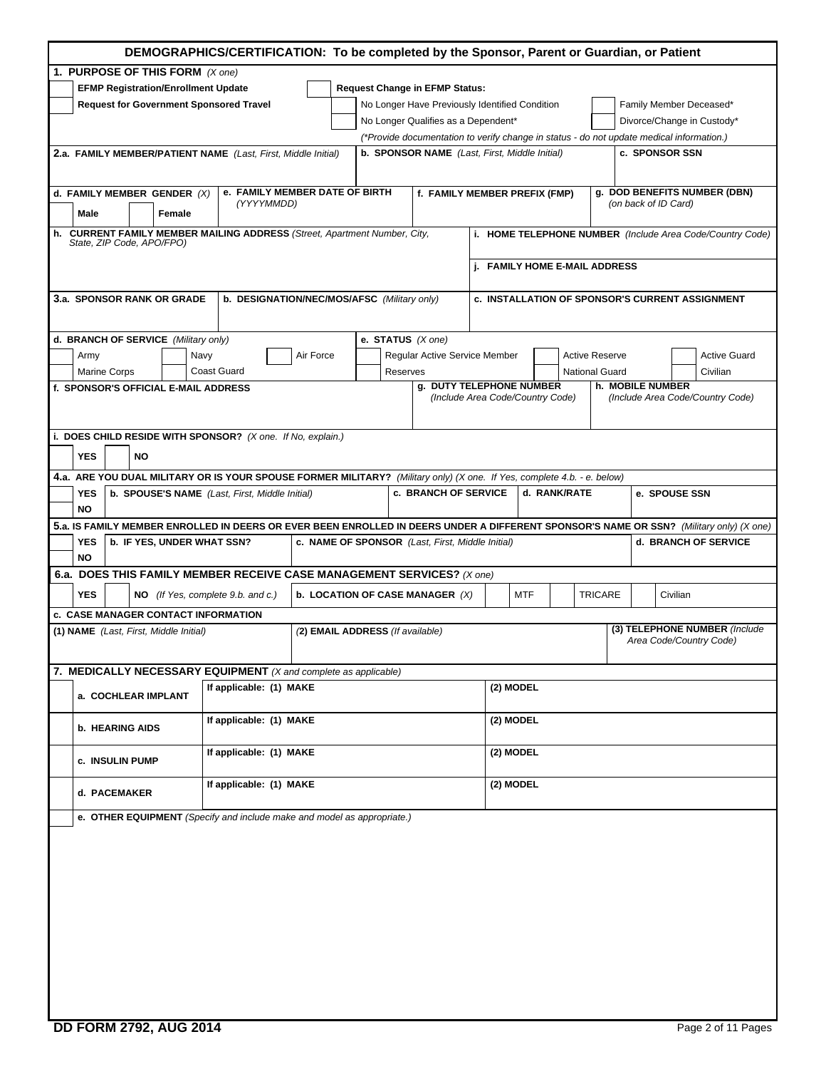| DEMOGRAPHICS/CERTIFICATION: To be completed by the Sponsor, Parent or Guardian, or Patient |                                                                                                                         |                                                  |                                                              |                               |                                                                                                                                         |  |  |  |  |
|--------------------------------------------------------------------------------------------|-------------------------------------------------------------------------------------------------------------------------|--------------------------------------------------|--------------------------------------------------------------|-------------------------------|-----------------------------------------------------------------------------------------------------------------------------------------|--|--|--|--|
| 1. PURPOSE OF THIS FORM (X one)                                                            |                                                                                                                         |                                                  |                                                              |                               |                                                                                                                                         |  |  |  |  |
| <b>EFMP Registration/Enrollment Update</b><br><b>Request Change in EFMP Status:</b>        |                                                                                                                         |                                                  |                                                              |                               |                                                                                                                                         |  |  |  |  |
| <b>Request for Government Sponsored Travel</b>                                             |                                                                                                                         | No Longer Have Previously Identified Condition   |                                                              |                               | Family Member Deceased*<br>Divorce/Change in Custody*                                                                                   |  |  |  |  |
|                                                                                            |                                                                                                                         | No Longer Qualifies as a Dependent*              |                                                              |                               | (*Provide documentation to verify change in status - do not update medical information.)                                                |  |  |  |  |
|                                                                                            | 2.a. FAMILY MEMBER/PATIENT NAME (Last, First, Middle Initial)                                                           | b. SPONSOR NAME (Last, First, Middle Initial)    |                                                              |                               | c. SPONSOR SSN                                                                                                                          |  |  |  |  |
|                                                                                            |                                                                                                                         |                                                  |                                                              |                               |                                                                                                                                         |  |  |  |  |
| d. FAMILY MEMBER GENDER (X)                                                                | e. FAMILY MEMBER DATE OF BIRTH                                                                                          |                                                  | f. FAMILY MEMBER PREFIX (FMP)                                |                               | g. DOD BENEFITS NUMBER (DBN)                                                                                                            |  |  |  |  |
| Male<br>Female                                                                             | (YYYYMMDD)                                                                                                              |                                                  |                                                              |                               | (on back of ID Card)                                                                                                                    |  |  |  |  |
| State, ZIP Code, APO/FPO)                                                                  | h. CURRENT FAMILY MEMBER MAILING ADDRESS (Street, Apartment Number, City,                                               |                                                  |                                                              |                               | i. HOME TELEPHONE NUMBER (Include Area Code/Country Code)                                                                               |  |  |  |  |
|                                                                                            |                                                                                                                         |                                                  |                                                              | j. FAMILY HOME E-MAIL ADDRESS |                                                                                                                                         |  |  |  |  |
| 3.a. SPONSOR RANK OR GRADE                                                                 | b. DESIGNATION/NEC/MOS/AFSC (Military only)                                                                             |                                                  |                                                              |                               | c. INSTALLATION OF SPONSOR'S CURRENT ASSIGNMENT                                                                                         |  |  |  |  |
| d. BRANCH OF SERVICE (Military only)                                                       |                                                                                                                         | e. STATUS $(X \text{ one})$                      |                                                              |                               |                                                                                                                                         |  |  |  |  |
| Army                                                                                       | Air Force<br>Navy                                                                                                       |                                                  | Regular Active Service Member                                | <b>Active Reserve</b>         | <b>Active Guard</b>                                                                                                                     |  |  |  |  |
| <b>Marine Corps</b>                                                                        | <b>Coast Guard</b>                                                                                                      | Reserves                                         |                                                              | <b>National Guard</b>         | Civilian                                                                                                                                |  |  |  |  |
| f. SPONSOR'S OFFICIAL E-MAIL ADDRESS                                                       |                                                                                                                         |                                                  | g. DUTY TELEPHONE NUMBER<br>(Include Area Code/Country Code) |                               | h. MOBILE NUMBER<br>(Include Area Code/Country Code)                                                                                    |  |  |  |  |
| <b>YES</b><br><b>NO</b>                                                                    | i. DOES CHILD RESIDE WITH SPONSOR? (X one. If No, explain.)                                                             |                                                  |                                                              |                               |                                                                                                                                         |  |  |  |  |
|                                                                                            | 4.a. ARE YOU DUAL MILITARY OR IS YOUR SPOUSE FORMER MILITARY? (Military only) (X one. If Yes, complete 4.b. - e. below) |                                                  |                                                              |                               |                                                                                                                                         |  |  |  |  |
| YES<br>NO                                                                                  | <b>b. SPOUSE'S NAME</b> (Last, First, Middle Initial)                                                                   |                                                  | <b>c. BRANCH OF SERVICE</b>                                  | d. RANK/RATE                  | e. SPOUSE SSN                                                                                                                           |  |  |  |  |
|                                                                                            |                                                                                                                         |                                                  |                                                              |                               | 5.a. IS FAMILY MEMBER ENROLLED IN DEERS OR EVER BEEN ENROLLED IN DEERS UNDER A DIFFERENT SPONSOR'S NAME OR SSN? (Military only) (X one) |  |  |  |  |
| YES<br><b>b. IF YES, UNDER WHAT SSN?</b><br>NO                                             |                                                                                                                         | c. NAME OF SPONSOR (Last, First, Middle Initial) |                                                              |                               | d. BRANCH OF SERVICE                                                                                                                    |  |  |  |  |
|                                                                                            | 6.a. DOES THIS FAMILY MEMBER RECEIVE CASE MANAGEMENT SERVICES? (X one)                                                  |                                                  |                                                              |                               |                                                                                                                                         |  |  |  |  |
| <b>YES</b>                                                                                 | NO (If Yes, complete 9.b. and c.)                                                                                       | b. LOCATION OF CASE MANAGER (X)                  |                                                              | MTF                           | <b>TRICARE</b><br>Civilian                                                                                                              |  |  |  |  |
| <b>c. CASE MANAGER CONTACT INFORMATION</b>                                                 |                                                                                                                         |                                                  |                                                              |                               | (3) TELEPHONE NUMBER (Include                                                                                                           |  |  |  |  |
| (1) NAME (Last, First, Middle Initial)                                                     |                                                                                                                         | (2) EMAIL ADDRESS (If available)                 |                                                              |                               | Area Code/Country Code)                                                                                                                 |  |  |  |  |
|                                                                                            | 7. MEDICALLY NECESSARY EQUIPMENT (X and complete as applicable)                                                         |                                                  |                                                              |                               |                                                                                                                                         |  |  |  |  |
| a. COCHLEAR IMPLANT                                                                        | If applicable: (1) MAKE                                                                                                 |                                                  |                                                              | (2) MODEL                     |                                                                                                                                         |  |  |  |  |
| <b>b. HEARING AIDS</b>                                                                     | If applicable: (1) MAKE                                                                                                 |                                                  |                                                              | (2) MODEL                     |                                                                                                                                         |  |  |  |  |
| c. INSULIN PUMP                                                                            | If applicable: (1) MAKE                                                                                                 |                                                  |                                                              | (2) MODEL                     |                                                                                                                                         |  |  |  |  |
| If applicable: (1) MAKE<br>(2) MODEL<br>d. PACEMAKER                                       |                                                                                                                         |                                                  |                                                              |                               |                                                                                                                                         |  |  |  |  |
|                                                                                            | e. OTHER EQUIPMENT (Specify and include make and model as appropriate.)                                                 |                                                  |                                                              |                               |                                                                                                                                         |  |  |  |  |
|                                                                                            |                                                                                                                         |                                                  |                                                              |                               |                                                                                                                                         |  |  |  |  |
|                                                                                            |                                                                                                                         |                                                  |                                                              |                               |                                                                                                                                         |  |  |  |  |
|                                                                                            |                                                                                                                         |                                                  |                                                              |                               |                                                                                                                                         |  |  |  |  |
|                                                                                            |                                                                                                                         |                                                  |                                                              |                               |                                                                                                                                         |  |  |  |  |
|                                                                                            |                                                                                                                         |                                                  |                                                              |                               |                                                                                                                                         |  |  |  |  |
|                                                                                            |                                                                                                                         |                                                  |                                                              |                               |                                                                                                                                         |  |  |  |  |
|                                                                                            |                                                                                                                         |                                                  |                                                              |                               |                                                                                                                                         |  |  |  |  |
|                                                                                            |                                                                                                                         |                                                  |                                                              |                               |                                                                                                                                         |  |  |  |  |
|                                                                                            |                                                                                                                         |                                                  |                                                              |                               |                                                                                                                                         |  |  |  |  |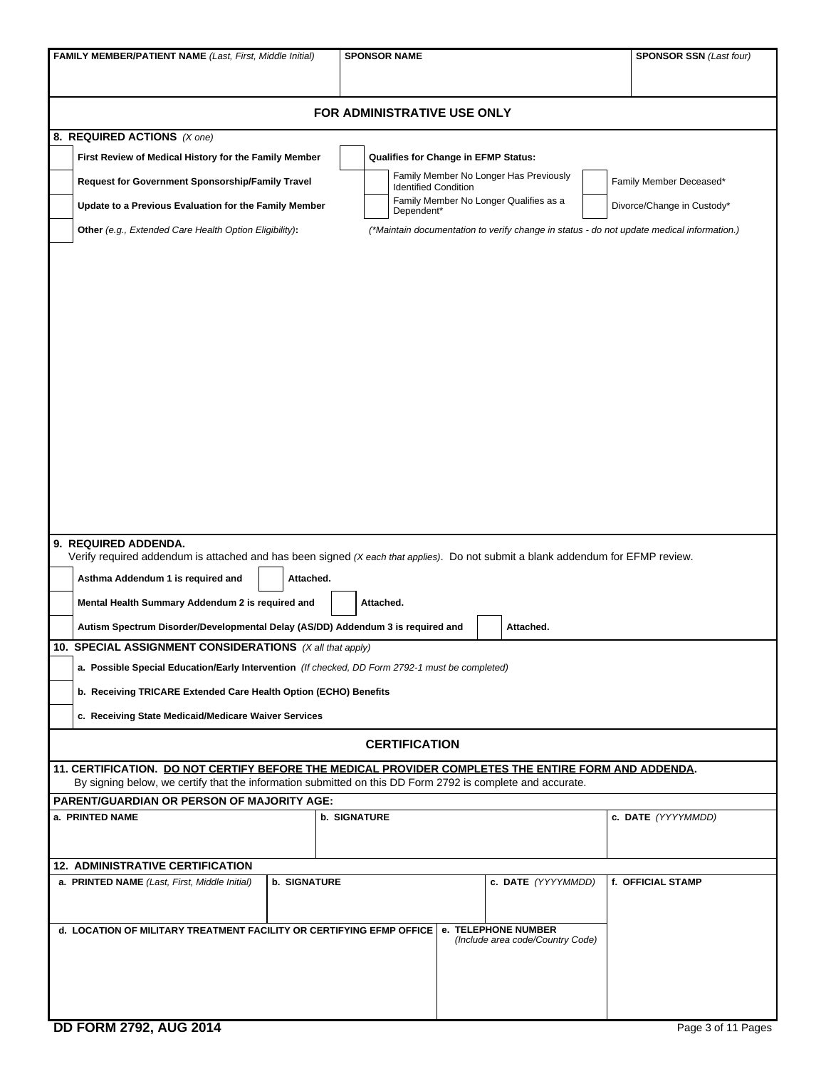| FAMILY MEMBER/PATIENT NAME (Last, First, Middle Initial)                                                                                                                                                                                                                                                                                         | <b>SPONSOR NAME</b>                                                                              | <b>SPONSOR SSN (Last four)</b> |  |  |  |  |  |  |  |  |
|--------------------------------------------------------------------------------------------------------------------------------------------------------------------------------------------------------------------------------------------------------------------------------------------------------------------------------------------------|--------------------------------------------------------------------------------------------------|--------------------------------|--|--|--|--|--|--|--|--|
|                                                                                                                                                                                                                                                                                                                                                  |                                                                                                  |                                |  |  |  |  |  |  |  |  |
|                                                                                                                                                                                                                                                                                                                                                  | FOR ADMINISTRATIVE USE ONLY                                                                      |                                |  |  |  |  |  |  |  |  |
| 8. REQUIRED ACTIONS (X one)                                                                                                                                                                                                                                                                                                                      |                                                                                                  |                                |  |  |  |  |  |  |  |  |
| First Review of Medical History for the Family Member                                                                                                                                                                                                                                                                                            | Qualifies for Change in EFMP Status:                                                             |                                |  |  |  |  |  |  |  |  |
| Request for Government Sponsorship/Family Travel                                                                                                                                                                                                                                                                                                 | Family Member No Longer Has Previously<br>Family Member Deceased*<br><b>Identified Condition</b> |                                |  |  |  |  |  |  |  |  |
| Update to a Previous Evaluation for the Family Member                                                                                                                                                                                                                                                                                            | Family Member No Longer Qualifies as a<br>Divorce/Change in Custody*<br>Dependent*               |                                |  |  |  |  |  |  |  |  |
| Other (e.g., Extended Care Health Option Eligibility):<br>(*Maintain documentation to verify change in status - do not update medical information.)                                                                                                                                                                                              |                                                                                                  |                                |  |  |  |  |  |  |  |  |
|                                                                                                                                                                                                                                                                                                                                                  |                                                                                                  |                                |  |  |  |  |  |  |  |  |
| 9. REQUIRED ADDENDA.<br>Verify required addendum is attached and has been signed (X each that applies). Do not submit a blank addendum for EFMP review.<br>Asthma Addendum 1 is required and<br>Attached.<br>Mental Health Summary Addendum 2 is required and<br>Autism Spectrum Disorder/Developmental Delay (AS/DD) Addendum 3 is required and | Attached.<br>Attached.                                                                           |                                |  |  |  |  |  |  |  |  |
| 10. SPECIAL ASSIGNMENT CONSIDERATIONS (X all that apply)                                                                                                                                                                                                                                                                                         |                                                                                                  |                                |  |  |  |  |  |  |  |  |
| a. Possible Special Education/Early Intervention (If checked, DD Form 2792-1 must be completed)                                                                                                                                                                                                                                                  |                                                                                                  |                                |  |  |  |  |  |  |  |  |
| b. Receiving TRICARE Extended Care Health Option (ECHO) Benefits                                                                                                                                                                                                                                                                                 |                                                                                                  |                                |  |  |  |  |  |  |  |  |
| c. Receiving State Medicaid/Medicare Waiver Services                                                                                                                                                                                                                                                                                             |                                                                                                  |                                |  |  |  |  |  |  |  |  |
|                                                                                                                                                                                                                                                                                                                                                  | <b>CERTIFICATION</b>                                                                             |                                |  |  |  |  |  |  |  |  |
| 11. CERTIFICATION. DO NOT CERTIFY BEFORE THE MEDICAL PROVIDER COMPLETES THE ENTIRE FORM AND ADDENDA.<br>By signing below, we certify that the information submitted on this DD Form 2792 is complete and accurate.                                                                                                                               |                                                                                                  |                                |  |  |  |  |  |  |  |  |
| <b>PARENT/GUARDIAN OR PERSON OF MAJORITY AGE:</b>                                                                                                                                                                                                                                                                                                |                                                                                                  |                                |  |  |  |  |  |  |  |  |
| a. PRINTED NAME                                                                                                                                                                                                                                                                                                                                  | <b>b. SIGNATURE</b>                                                                              | c. DATE (YYYYMMDD)             |  |  |  |  |  |  |  |  |
|                                                                                                                                                                                                                                                                                                                                                  |                                                                                                  |                                |  |  |  |  |  |  |  |  |
| <b>12. ADMINISTRATIVE CERTIFICATION</b><br>a. PRINTED NAME (Last, First, Middle Initial)<br><b>b. SIGNATURE</b>                                                                                                                                                                                                                                  | c. DATE (YYYYMMDD)                                                                               | f. OFFICIAL STAMP              |  |  |  |  |  |  |  |  |
| d. LOCATION OF MILITARY TREATMENT FACILITY OR CERTIFYING EFMP OFFICE   e. TELEPHONE NUMBER                                                                                                                                                                                                                                                       | (Include area code/Country Code)                                                                 |                                |  |  |  |  |  |  |  |  |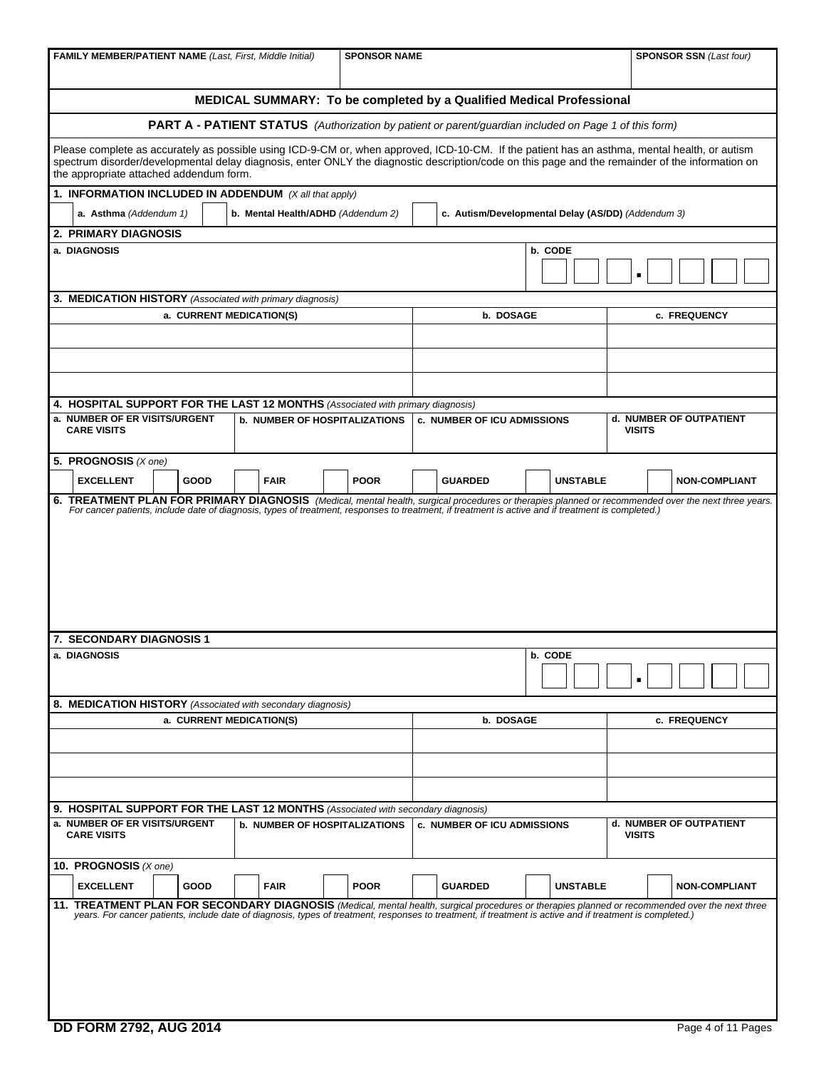| <b>FAMILY MEMBER/PATIENT NAME (Last, First, Middle Initial)</b>                                                                                                                                                                                                                                              | <b>SPONSOR SSN</b> (Last four)       |             |                                                                                                              |                                                    |                                          |  |  |  |  |
|--------------------------------------------------------------------------------------------------------------------------------------------------------------------------------------------------------------------------------------------------------------------------------------------------------------|--------------------------------------|-------------|--------------------------------------------------------------------------------------------------------------|----------------------------------------------------|------------------------------------------|--|--|--|--|
| MEDICAL SUMMARY: To be completed by a Qualified Medical Professional                                                                                                                                                                                                                                         |                                      |             |                                                                                                              |                                                    |                                          |  |  |  |  |
|                                                                                                                                                                                                                                                                                                              |                                      |             | <b>PART A - PATIENT STATUS</b> (Authorization by patient or parent/guardian included on Page 1 of this form) |                                                    |                                          |  |  |  |  |
| Please complete as accurately as possible using ICD-9-CM or, when approved, ICD-10-CM. If the patient has an asthma, mental health, or autism                                                                                                                                                                |                                      |             |                                                                                                              |                                                    |                                          |  |  |  |  |
| spectrum disorder/developmental delay diagnosis, enter ONLY the diagnostic description/code on this page and the remainder of the information on<br>the appropriate attached addendum form.                                                                                                                  |                                      |             |                                                                                                              |                                                    |                                          |  |  |  |  |
| 1. INFORMATION INCLUDED IN ADDENDUM (X all that apply)                                                                                                                                                                                                                                                       |                                      |             |                                                                                                              |                                                    |                                          |  |  |  |  |
| a. Asthma (Addendum 1)                                                                                                                                                                                                                                                                                       | b. Mental Health/ADHD (Addendum 2)   |             |                                                                                                              | c. Autism/Developmental Delay (AS/DD) (Addendum 3) |                                          |  |  |  |  |
| 2. PRIMARY DIAGNOSIS<br>a. DIAGNOSIS                                                                                                                                                                                                                                                                         |                                      |             |                                                                                                              | b. CODE                                            |                                          |  |  |  |  |
|                                                                                                                                                                                                                                                                                                              |                                      |             |                                                                                                              |                                                    | п                                        |  |  |  |  |
| 3. MEDICATION HISTORY (Associated with primary diagnosis)                                                                                                                                                                                                                                                    |                                      |             |                                                                                                              |                                                    |                                          |  |  |  |  |
| a. CURRENT MEDICATION(S)                                                                                                                                                                                                                                                                                     |                                      |             | b. DOSAGE                                                                                                    |                                                    | c. FREQUENCY                             |  |  |  |  |
|                                                                                                                                                                                                                                                                                                              |                                      |             |                                                                                                              |                                                    |                                          |  |  |  |  |
|                                                                                                                                                                                                                                                                                                              |                                      |             |                                                                                                              |                                                    |                                          |  |  |  |  |
|                                                                                                                                                                                                                                                                                                              |                                      |             |                                                                                                              |                                                    |                                          |  |  |  |  |
| 4. HOSPITAL SUPPORT FOR THE LAST 12 MONTHS (Associated with primary diagnosis)                                                                                                                                                                                                                               |                                      |             |                                                                                                              |                                                    |                                          |  |  |  |  |
| a. NUMBER OF ER VISITS/URGENT<br><b>CARE VISITS</b>                                                                                                                                                                                                                                                          | <b>b. NUMBER OF HOSPITALIZATIONS</b> |             | <b>c. NUMBER OF ICU ADMISSIONS</b>                                                                           |                                                    | d. NUMBER OF OUTPATIENT<br><b>VISITS</b> |  |  |  |  |
| 5. PROGNOSIS $(X \text{ one})$                                                                                                                                                                                                                                                                               |                                      |             |                                                                                                              |                                                    |                                          |  |  |  |  |
| <b>EXCELLENT</b><br>GOOD                                                                                                                                                                                                                                                                                     | <b>FAIR</b>                          | <b>POOR</b> | <b>GUARDED</b>                                                                                               | <b>UNSTABLE</b>                                    | <b>NON-COMPLIANT</b>                     |  |  |  |  |
|                                                                                                                                                                                                                                                                                                              |                                      |             |                                                                                                              |                                                    |                                          |  |  |  |  |
| 7. SECONDARY DIAGNOSIS 1                                                                                                                                                                                                                                                                                     |                                      |             |                                                                                                              |                                                    |                                          |  |  |  |  |
| a. DIAGNOSIS                                                                                                                                                                                                                                                                                                 |                                      |             |                                                                                                              | b. CODE                                            |                                          |  |  |  |  |
| 8. MEDICATION HISTORY (Associated with secondary diagnosis)                                                                                                                                                                                                                                                  |                                      |             |                                                                                                              |                                                    |                                          |  |  |  |  |
| a. CURRENT MEDICATION(S)                                                                                                                                                                                                                                                                                     |                                      |             | b. DOSAGE                                                                                                    |                                                    | c. FREQUENCY                             |  |  |  |  |
|                                                                                                                                                                                                                                                                                                              |                                      |             |                                                                                                              |                                                    |                                          |  |  |  |  |
|                                                                                                                                                                                                                                                                                                              |                                      |             |                                                                                                              |                                                    |                                          |  |  |  |  |
| 9. HOSPITAL SUPPORT FOR THE LAST 12 MONTHS (Associated with secondary diagnosis)                                                                                                                                                                                                                             |                                      |             |                                                                                                              |                                                    |                                          |  |  |  |  |
| a. NUMBER OF ER VISITS/URGENT<br><b>CARE VISITS</b>                                                                                                                                                                                                                                                          | <b>b. NUMBER OF HOSPITALIZATIONS</b> |             | <b>c. NUMBER OF ICU ADMISSIONS</b>                                                                           |                                                    | d. NUMBER OF OUTPATIENT<br><b>VISITS</b> |  |  |  |  |
| 10. PROGNOSIS (X one)                                                                                                                                                                                                                                                                                        |                                      |             |                                                                                                              |                                                    |                                          |  |  |  |  |
| <b>EXCELLENT</b><br>GOOD                                                                                                                                                                                                                                                                                     | <b>FAIR</b>                          | <b>POOR</b> | <b>GUARDED</b>                                                                                               | <b>UNSTABLE</b>                                    | <b>NON-COMPLIANT</b>                     |  |  |  |  |
| 11. TREATMENT PLAN FOR SECONDARY DIAGNOSIS (Medical, mental health, surgical procedures or therapies planned or recommended over the next three<br>years. For cancer patients, include date of diagnosis, types of treatment, responses to treatment, if treatment is active and if treatment is completed.) |                                      |             |                                                                                                              |                                                    |                                          |  |  |  |  |
| <b>DD FORM 2792, AUG 2014</b>                                                                                                                                                                                                                                                                                |                                      |             |                                                                                                              |                                                    | Page 4 of 11 Pages                       |  |  |  |  |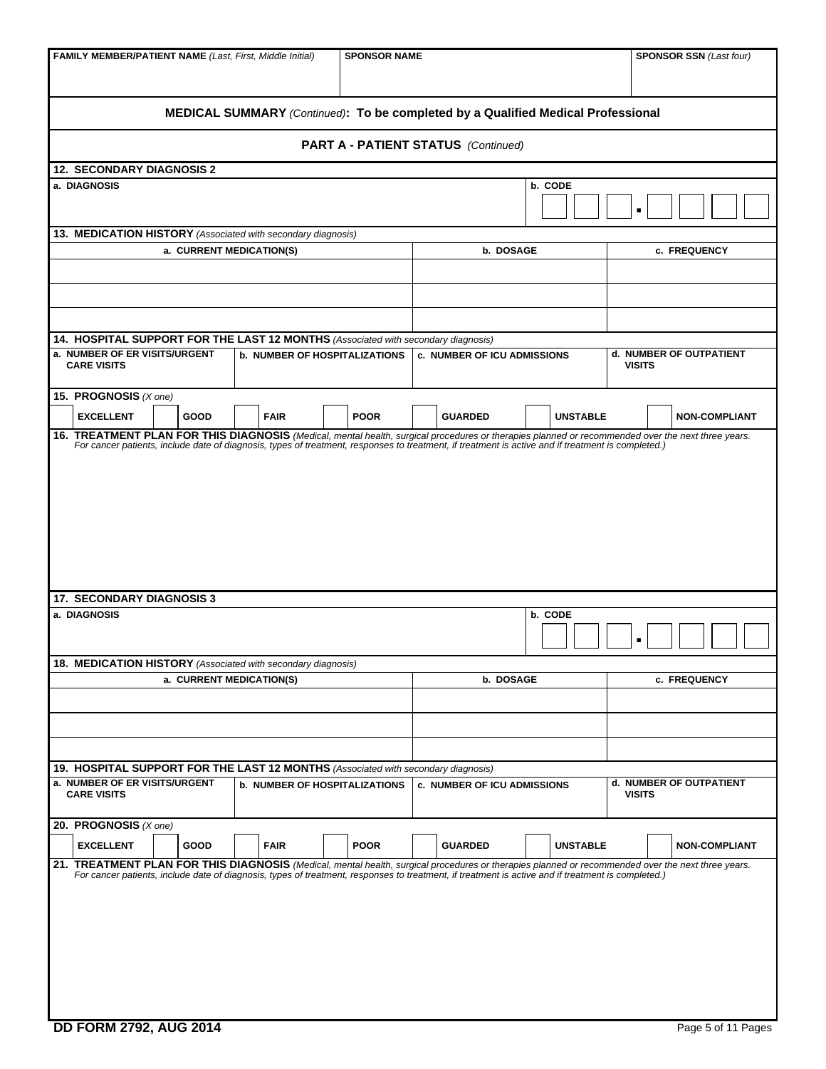| <b>FAMILY MEMBER/PATIENT NAME (Last, First, Middle Initial)</b>                                                                                                               |                                      | <b>SPONSOR NAME</b> |                                            | <b>SPONSOR SSN (Last four)</b> |                                          |  |  |  |  |
|-------------------------------------------------------------------------------------------------------------------------------------------------------------------------------|--------------------------------------|---------------------|--------------------------------------------|--------------------------------|------------------------------------------|--|--|--|--|
| MEDICAL SUMMARY (Continued): To be completed by a Qualified Medical Professional                                                                                              |                                      |                     |                                            |                                |                                          |  |  |  |  |
|                                                                                                                                                                               |                                      |                     | <b>PART A - PATIENT STATUS</b> (Continued) |                                |                                          |  |  |  |  |
| <b>12. SECONDARY DIAGNOSIS 2</b>                                                                                                                                              |                                      |                     |                                            |                                |                                          |  |  |  |  |
| a. DIAGNOSIS                                                                                                                                                                  |                                      |                     |                                            | b. CODE                        | п                                        |  |  |  |  |
| 13. MEDICATION HISTORY (Associated with secondary diagnosis)                                                                                                                  |                                      |                     |                                            |                                |                                          |  |  |  |  |
| a. CURRENT MEDICATION(S)                                                                                                                                                      |                                      |                     | b. DOSAGE                                  |                                | c. FREQUENCY                             |  |  |  |  |
|                                                                                                                                                                               |                                      |                     |                                            |                                |                                          |  |  |  |  |
|                                                                                                                                                                               |                                      |                     |                                            |                                |                                          |  |  |  |  |
|                                                                                                                                                                               |                                      |                     |                                            |                                |                                          |  |  |  |  |
| 14. HOSPITAL SUPPORT FOR THE LAST 12 MONTHS (Associated with secondary diagnosis)<br>a. NUMBER OF ER VISITS/URGENT<br><b>CARE VISITS</b>                                      | <b>b. NUMBER OF HOSPITALIZATIONS</b> |                     | c. NUMBER OF ICU ADMISSIONS                |                                | d. NUMBER OF OUTPATIENT<br><b>VISITS</b> |  |  |  |  |
| 15. PROGNOSIS (X one)<br><b>EXCELLENT</b><br>GOOD                                                                                                                             | <b>FAIR</b>                          | <b>POOR</b>         | <b>GUARDED</b>                             | <b>UNSTABLE</b>                | <b>NON-COMPLIANT</b>                     |  |  |  |  |
| 16. TREATMENT PLAN FOR THIS DIAGNOSIS (Medical, mental health, surgical procedures or therapies planned or recommended over the next three years.                             |                                      |                     |                                            |                                |                                          |  |  |  |  |
| <b>17. SECONDARY DIAGNOSIS 3</b><br>a. DIAGNOSIS                                                                                                                              |                                      |                     |                                            | b. CODE                        |                                          |  |  |  |  |
|                                                                                                                                                                               |                                      |                     |                                            |                                | п                                        |  |  |  |  |
| 18. MEDICATION HISTORY (Associated with secondary diagnosis)<br>a. CURRENT MEDICATION(S)                                                                                      |                                      |                     | b. DOSAGE                                  |                                | c. FREQUENCY                             |  |  |  |  |
|                                                                                                                                                                               |                                      |                     |                                            |                                |                                          |  |  |  |  |
|                                                                                                                                                                               |                                      |                     |                                            |                                |                                          |  |  |  |  |
|                                                                                                                                                                               |                                      |                     |                                            |                                |                                          |  |  |  |  |
| 19. HOSPITAL SUPPORT FOR THE LAST 12 MONTHS (Associated with secondary diagnosis)                                                                                             |                                      |                     |                                            |                                |                                          |  |  |  |  |
| a. NUMBER OF ER VISITS/URGENT<br><b>CARE VISITS</b>                                                                                                                           | <b>b. NUMBER OF HOSPITALIZATIONS</b> |                     | <b>c. NUMBER OF ICU ADMISSIONS</b>         |                                | d. NUMBER OF OUTPATIENT<br><b>VISITS</b> |  |  |  |  |
| 20. PROGNOSIS $(X \text{ one})$                                                                                                                                               |                                      |                     |                                            |                                |                                          |  |  |  |  |
| <b>EXCELLENT</b><br>GOOD<br>21. TREATMENT PLAN FOR THIS DIAGNOSIS (Medical, mental health, surgical procedures or therapies planned or recommended over the next three years. | <b>FAIR</b>                          | <b>POOR</b>         | <b>GUARDED</b>                             | <b>UNSTABLE</b>                | <b>NON-COMPLIANT</b>                     |  |  |  |  |
| For cancer patients, include date of diagnosis, types of treatment, responses to treatment, if treatment is active and if treatment is completed.)                            |                                      |                     |                                            |                                |                                          |  |  |  |  |
| <b>DD FORM 2792, AUG 2014</b>                                                                                                                                                 |                                      |                     |                                            |                                | Page 5 of 11 Pages                       |  |  |  |  |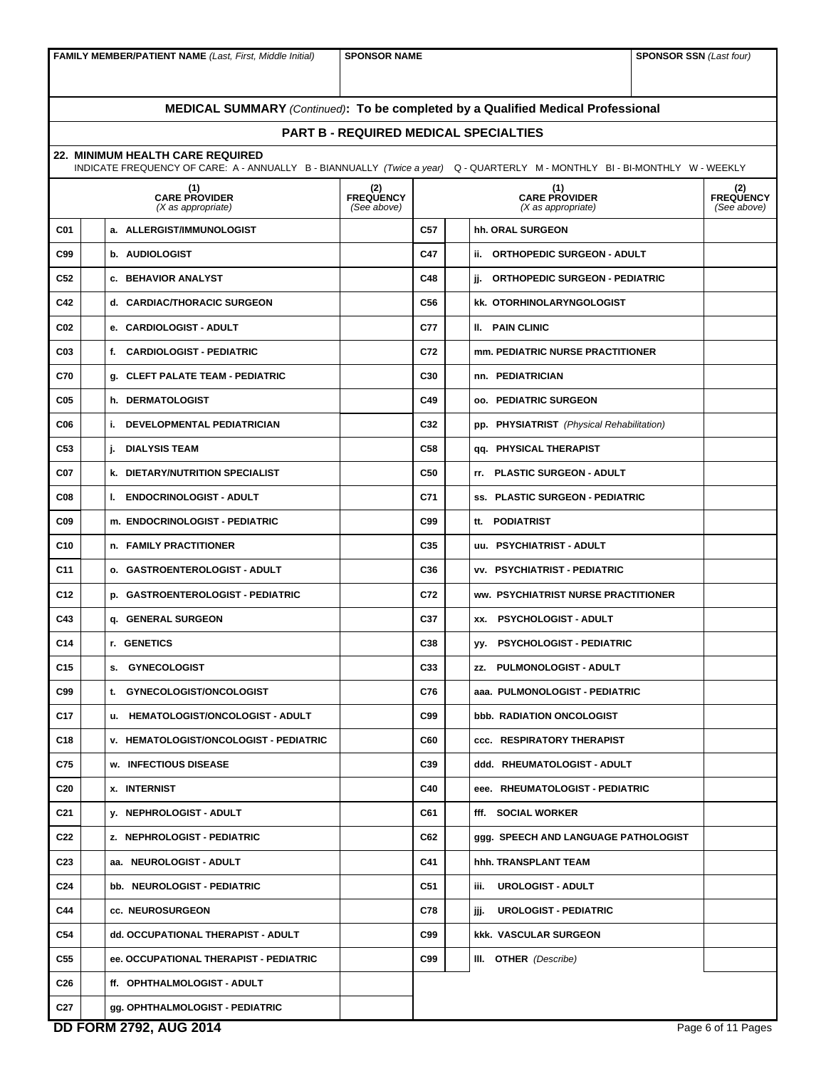**FAMILY MEMBER/PATIENT NAME** *(Last, First, Middle Initial)* **SPONSOR NAME SPONSOR SSN** *(Last four)* 

# **MEDICAL SUMMARY** *(Continued)***: To be completed by a Qualified Medical Professional**

## **PART B - REQUIRED MEDICAL SPECIALTIES**

**22. MINIMUM HEALTH CARE REQUIRED** 

|            | 22. MINIMUM HEALTH CARE REQUIRED<br>INDICATE FREQUENCY OF CARE: A - ANNUALLY B - BIANNUALLY (Twice a year) Q - QUARTERLY M - MONTHLY BI - BI-MONTHLY W - WEEKLY |                                 |     |  |                                              |                                 |
|------------|-----------------------------------------------------------------------------------------------------------------------------------------------------------------|---------------------------------|-----|--|----------------------------------------------|---------------------------------|
|            | (1)<br>CARE PROVIDER<br>$(X$ as appropriate)                                                                                                                    | (2)<br>FREQUENCY<br>(See above) |     |  | (1)<br>CARE PROVIDER<br>$(X$ as appropriate) | (2)<br>FREQUENCY<br>(See above) |
| C01        | a. ALLERGIST/IMMUNOLOGIST                                                                                                                                       |                                 | C57 |  | hh. ORAL SURGEON                             |                                 |
| C99        | b. AUDIOLOGIST                                                                                                                                                  |                                 | C47 |  | ii. ORTHOPEDIC SURGEON - ADULT               |                                 |
| C52        | <b>c. BEHAVIOR ANALYST</b>                                                                                                                                      |                                 | C48 |  | jj. ORTHOPEDIC SURGEON - PEDIATRIC           |                                 |
| C42        | d. CARDIAC/THORACIC SURGEON                                                                                                                                     |                                 | C56 |  | <b>kk. OTORHINOLARYNGOLOGIST</b>             |                                 |
| C02        | e. CARDIOLOGIST - ADULT                                                                                                                                         |                                 | C77 |  | II. PAIN CLINIC                              |                                 |
| C03        | f. CARDIOLOGIST - PEDIATRIC                                                                                                                                     |                                 | C72 |  | mm. PEDIATRIC NURSE PRACTITIONER             |                                 |
| C70        | g. CLEFT PALATE TEAM - PEDIATRIC                                                                                                                                |                                 | C30 |  | nn. PEDIATRICIAN                             |                                 |
| C05        | h. DERMATOLOGIST                                                                                                                                                |                                 | C49 |  | <b>oo. PEDIATRIC SURGEON</b>                 |                                 |
| C06        | <b>i. DEVELOPMENTAL PEDIATRICIAN</b>                                                                                                                            |                                 | C32 |  | pp. PHYSIATRIST (Physical Rehabilitation)    |                                 |
| C53        | <b>DIALYSIS TEAM</b><br>j.                                                                                                                                      |                                 | C58 |  | qq. PHYSICAL THERAPIST                       |                                 |
| C07        | <b>k. DIETARY/NUTRITION SPECIALIST</b>                                                                                                                          |                                 | C50 |  | rr. PLASTIC SURGEON - ADULT                  |                                 |
| <b>C08</b> | I. ENDOCRINOLOGIST - ADULT                                                                                                                                      |                                 | C71 |  | ss. PLASTIC SURGEON - PEDIATRIC              |                                 |
| C09        | m. ENDOCRINOLOGIST - PEDIATRIC                                                                                                                                  |                                 | C99 |  | tt. PODIATRIST                               |                                 |
| C10        | n. FAMILY PRACTITIONER                                                                                                                                          |                                 | C35 |  | uu. PSYCHIATRIST - ADULT                     |                                 |
| C11        | o. GASTROENTEROLOGIST - ADULT                                                                                                                                   |                                 | C36 |  | <b>vv. PSYCHIATRIST - PEDIATRIC</b>          |                                 |
| C12        | p. GASTROENTEROLOGIST - PEDIATRIC                                                                                                                               |                                 | C72 |  | WW. PSYCHIATRIST NURSE PRACTITIONER          |                                 |
| C43        | q. GENERAL SURGEON                                                                                                                                              |                                 | C37 |  | XX. PSYCHOLOGIST - ADULT                     |                                 |
| C14        | r. GENETICS                                                                                                                                                     |                                 | C38 |  | yy. PSYCHOLOGIST - PEDIATRIC                 |                                 |
| C15        | s. GYNECOLOGIST                                                                                                                                                 |                                 | C33 |  | zz. PULMONOLOGIST - ADULT                    |                                 |
| C99        | t. GYNECOLOGIST/ONCOLOGIST                                                                                                                                      |                                 | C76 |  | aaa. PULMONOLOGIST - PEDIATRIC               |                                 |
| C17        | u. HEMATOLOGIST/ONCOLOGIST - ADULT                                                                                                                              |                                 | C99 |  | bbb. RADIATION ONCOLOGIST                    |                                 |
| C18        | <b>v. HEMATOLOGIST/ONCOLOGIST - PEDIATRIC</b>                                                                                                                   |                                 | C60 |  | <b>ccc. RESPIRATORY THERAPIST</b>            |                                 |
| C75        | w. INFECTIOUS DISEASE                                                                                                                                           |                                 | C39 |  | ddd. RHEUMATOLOGIST - ADULT                  |                                 |
| C20        | <b>x. INTERNIST</b>                                                                                                                                             |                                 | C40 |  | eee. RHEUMATOLOGIST - PEDIATRIC              |                                 |
| C21        | y. NEPHROLOGIST - ADULT                                                                                                                                         |                                 | C61 |  | fff. SOCIAL WORKER                           |                                 |
| C22        | z. NEPHROLOGIST - PEDIATRIC                                                                                                                                     |                                 | C62 |  | ggg. SPEECH AND LANGUAGE PATHOLOGIST         |                                 |
| C23        | aa. NEUROLOGIST - ADULT                                                                                                                                         |                                 | C41 |  | hhh. TRANSPLANT TEAM                         |                                 |
| C24        | bb. NEUROLOGIST - PEDIATRIC                                                                                                                                     |                                 | C51 |  | <b>UROLOGIST - ADULT</b><br>iii.             |                                 |
| C44        | cc. NEUROSURGEON                                                                                                                                                |                                 | C78 |  | <b>UROLOGIST - PEDIATRIC</b><br>jjj.         |                                 |
| C54        | dd. OCCUPATIONAL THERAPIST - ADULT                                                                                                                              |                                 | C99 |  | <b>kkk. VASCULAR SURGEON</b>                 |                                 |
| C55        | ee. OCCUPATIONAL THERAPIST - PEDIATRIC                                                                                                                          |                                 | C99 |  | III. OTHER (Describe)                        |                                 |
| C26        | ff. OPHTHALMOLOGIST - ADULT                                                                                                                                     |                                 |     |  |                                              |                                 |
| C27        | gg. OPHTHALMOLOGIST - PEDIATRIC                                                                                                                                 |                                 |     |  |                                              |                                 |
|            | <b>DD FORM 2792, AUG 2014</b>                                                                                                                                   |                                 |     |  |                                              | Page 6 of 11 Pages              |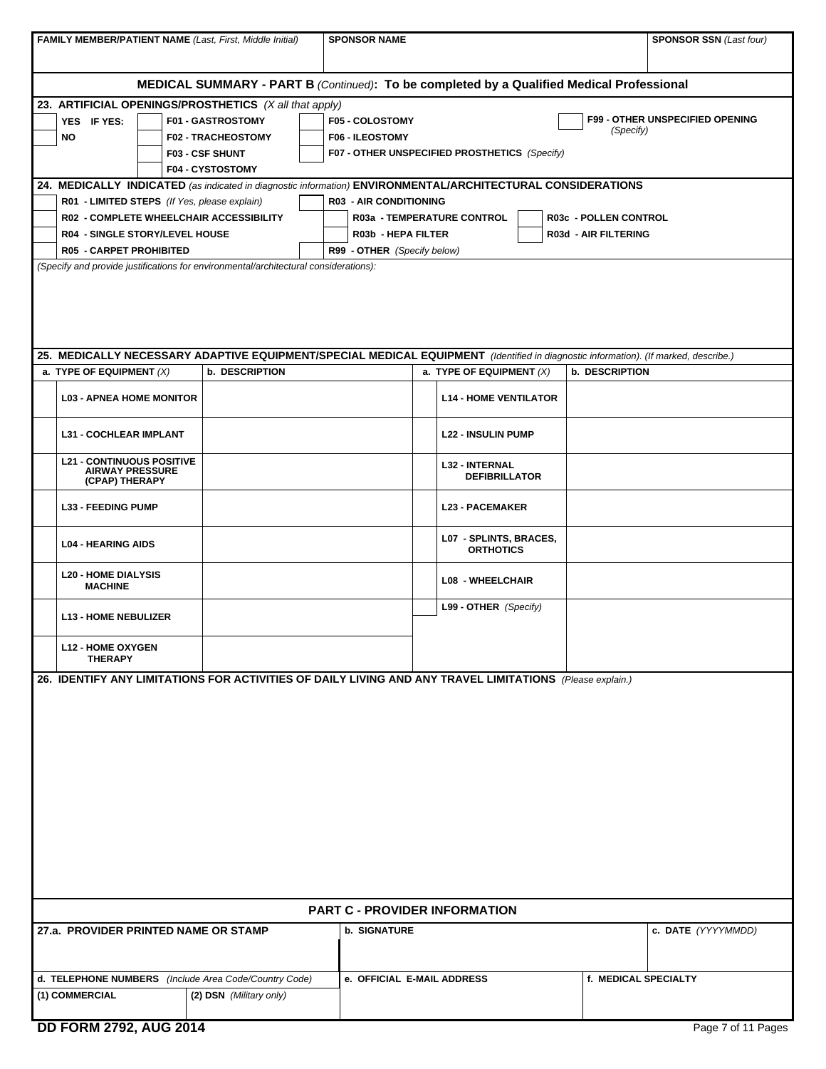| <b>FAMILY MEMBER/PATIENT NAME (Last, First, Middle Initial)</b>                                                                     |                                                                   | <b>SPONSOR NAME</b>                              |                                               |                                            |  |                                               | <b>SPONSOR SSN (Last four)</b>         |  |  |  |
|-------------------------------------------------------------------------------------------------------------------------------------|-------------------------------------------------------------------|--------------------------------------------------|-----------------------------------------------|--------------------------------------------|--|-----------------------------------------------|----------------------------------------|--|--|--|
|                                                                                                                                     |                                                                   |                                                  |                                               |                                            |  |                                               |                                        |  |  |  |
| <b>MEDICAL SUMMARY - PART B (Continued): To be completed by a Qualified Medical Professional</b>                                    |                                                                   |                                                  |                                               |                                            |  |                                               |                                        |  |  |  |
| 23. ARTIFICIAL OPENINGS/PROSTHETICS (X all that apply)                                                                              |                                                                   |                                                  |                                               |                                            |  |                                               |                                        |  |  |  |
| YES IF YES:<br><b>NO</b>                                                                                                            | F01 - GASTROSTOMY<br><b>F02 - TRACHEOSTOMY</b>                    | <b>F05 - COLOSTOMY</b><br><b>F06 - ILEOSTOMY</b> |                                               |                                            |  | (Specify)                                     | <b>F99 - OTHER UNSPECIFIED OPENING</b> |  |  |  |
|                                                                                                                                     | <b>F03 - CSF SHUNT</b>                                            |                                                  |                                               |                                            |  |                                               |                                        |  |  |  |
|                                                                                                                                     | F07 - OTHER UNSPECIFIED PROSTHETICS (Specify)<br>F04 - CYSTOSTOMY |                                                  |                                               |                                            |  |                                               |                                        |  |  |  |
| 24. MEDICALLY INDICATED (as indicated in diagnostic information) ENVIRONMENTAL/ARCHITECTURAL CONSIDERATIONS                         |                                                                   |                                                  |                                               |                                            |  |                                               |                                        |  |  |  |
| R01 - LIMITED STEPS (If Yes, please explain)                                                                                        |                                                                   |                                                  | <b>R03 - AIR CONDITIONING</b>                 |                                            |  |                                               |                                        |  |  |  |
| R02 - COMPLETE WHEELCHAIR ACCESSIBILITY<br><b>R04 - SINGLE STORY/LEVEL HOUSE</b>                                                    |                                                                   |                                                  | R03b - HEPA FILTER                            | R03a - TEMPERATURE CONTROL                 |  | R03c - POLLEN CONTROL<br>R03d - AIR FILTERING |                                        |  |  |  |
| <b>R05 - CARPET PROHIBITED</b>                                                                                                      |                                                                   |                                                  | R99 - OTHER (Specify below)                   |                                            |  |                                               |                                        |  |  |  |
| (Specify and provide justifications for environmental/architectural considerations):                                                |                                                                   |                                                  |                                               |                                            |  |                                               |                                        |  |  |  |
|                                                                                                                                     |                                                                   |                                                  |                                               |                                            |  |                                               |                                        |  |  |  |
|                                                                                                                                     |                                                                   |                                                  |                                               |                                            |  |                                               |                                        |  |  |  |
|                                                                                                                                     |                                                                   |                                                  |                                               |                                            |  |                                               |                                        |  |  |  |
|                                                                                                                                     |                                                                   |                                                  |                                               |                                            |  |                                               |                                        |  |  |  |
| 25. MEDICALLY NECESSARY ADAPTIVE EQUIPMENT/SPECIAL MEDICAL EQUIPMENT (Identified in diagnostic information). (If marked, describe.) |                                                                   |                                                  |                                               |                                            |  |                                               |                                        |  |  |  |
| a. TYPE OF EQUIPMENT $(X)$                                                                                                          | b. DESCRIPTION                                                    |                                                  |                                               | a. TYPE OF EQUIPMENT $(X)$                 |  | <b>b. DESCRIPTION</b>                         |                                        |  |  |  |
| <b>L03 - APNEA HOME MONITOR</b>                                                                                                     |                                                                   |                                                  |                                               | <b>L14 - HOME VENTILATOR</b>               |  |                                               |                                        |  |  |  |
| <b>L31 - COCHLEAR IMPLANT</b>                                                                                                       |                                                                   |                                                  |                                               | <b>L22 - INSULIN PUMP</b>                  |  |                                               |                                        |  |  |  |
| <b>L21 - CONTINUOUS POSITIVE</b><br><b>AIRWAY PRESSURE</b><br>(CPAP) THERAPY                                                        |                                                                   |                                                  | <b>L32 - INTERNAL</b><br><b>DEFIBRILLATOR</b> |                                            |  |                                               |                                        |  |  |  |
| <b>L33 - FEEDING PUMP</b>                                                                                                           |                                                                   | <b>L23 - PACEMAKER</b>                           |                                               |                                            |  |                                               |                                        |  |  |  |
| <b>L04 - HEARING AIDS</b>                                                                                                           |                                                                   |                                                  |                                               | L07 - SPLINTS, BRACES,<br><b>ORTHOTICS</b> |  |                                               |                                        |  |  |  |
| <b>L20 - HOME DIALYSIS</b><br><b>MACHINE</b>                                                                                        |                                                                   |                                                  |                                               | <b>L08 - WHEELCHAIR</b>                    |  |                                               |                                        |  |  |  |
| <b>L13 - HOME NEBULIZER</b>                                                                                                         |                                                                   |                                                  |                                               | L99 - OTHER (Specify)                      |  |                                               |                                        |  |  |  |
| <b>L12 - HOME OXYGEN</b><br><b>THERAPY</b>                                                                                          |                                                                   |                                                  |                                               |                                            |  |                                               |                                        |  |  |  |
| 26. IDENTIFY ANY LIMITATIONS FOR ACTIVITIES OF DAILY LIVING AND ANY TRAVEL LIMITATIONS (Please explain.)                            |                                                                   |                                                  |                                               |                                            |  |                                               |                                        |  |  |  |
|                                                                                                                                     |                                                                   |                                                  |                                               |                                            |  |                                               |                                        |  |  |  |
|                                                                                                                                     |                                                                   |                                                  |                                               |                                            |  |                                               |                                        |  |  |  |
|                                                                                                                                     |                                                                   |                                                  |                                               |                                            |  |                                               |                                        |  |  |  |
|                                                                                                                                     |                                                                   |                                                  |                                               |                                            |  |                                               |                                        |  |  |  |
|                                                                                                                                     |                                                                   |                                                  |                                               |                                            |  |                                               |                                        |  |  |  |
|                                                                                                                                     |                                                                   |                                                  |                                               |                                            |  |                                               |                                        |  |  |  |
|                                                                                                                                     |                                                                   |                                                  |                                               |                                            |  |                                               |                                        |  |  |  |
|                                                                                                                                     |                                                                   |                                                  |                                               |                                            |  |                                               |                                        |  |  |  |
|                                                                                                                                     |                                                                   |                                                  |                                               |                                            |  |                                               |                                        |  |  |  |
|                                                                                                                                     |                                                                   |                                                  |                                               |                                            |  |                                               |                                        |  |  |  |
|                                                                                                                                     |                                                                   |                                                  |                                               |                                            |  |                                               |                                        |  |  |  |
|                                                                                                                                     |                                                                   |                                                  |                                               | <b>PART C - PROVIDER INFORMATION</b>       |  |                                               |                                        |  |  |  |
| 27.a. PROVIDER PRINTED NAME OR STAMP                                                                                                |                                                                   |                                                  | <b>b. SIGNATURE</b>                           |                                            |  |                                               | c. DATE (YYYYMMDD)                     |  |  |  |
|                                                                                                                                     |                                                                   |                                                  |                                               |                                            |  |                                               |                                        |  |  |  |
| d. TELEPHONE NUMBERS (Include Area Code/Country Code)<br>(1) COMMERCIAL                                                             | (2) DSN (Military only)                                           |                                                  | e. OFFICIAL E-MAIL ADDRESS                    |                                            |  | f. MEDICAL SPECIALTY                          |                                        |  |  |  |
|                                                                                                                                     |                                                                   |                                                  |                                               |                                            |  |                                               |                                        |  |  |  |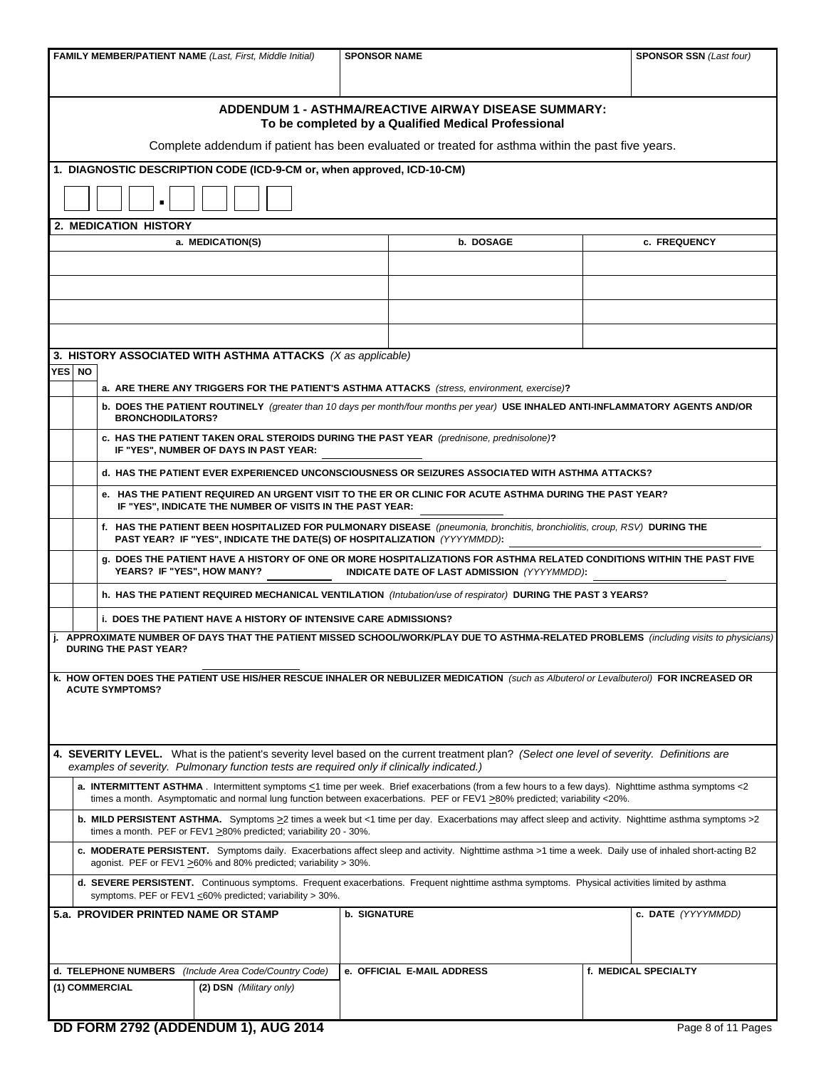|        |                                           | <b>FAMILY MEMBER/PATIENT NAME (Last, First, Middle Initial)</b>                            | <b>SPONSOR NAME</b> |                                                                                                                                                                                                                                                                                 | <b>SPONSOR SSN (Last four)</b> |                      |  |  |  |
|--------|-------------------------------------------|--------------------------------------------------------------------------------------------|---------------------|---------------------------------------------------------------------------------------------------------------------------------------------------------------------------------------------------------------------------------------------------------------------------------|--------------------------------|----------------------|--|--|--|
|        |                                           |                                                                                            |                     |                                                                                                                                                                                                                                                                                 |                                |                      |  |  |  |
|        |                                           |                                                                                            |                     | ADDENDUM 1 - ASTHMA/REACTIVE AIRWAY DISEASE SUMMARY:<br>To be completed by a Qualified Medical Professional                                                                                                                                                                     |                                |                      |  |  |  |
|        |                                           |                                                                                            |                     | Complete addendum if patient has been evaluated or treated for asthma within the past five years.                                                                                                                                                                               |                                |                      |  |  |  |
|        |                                           | 1. DIAGNOSTIC DESCRIPTION CODE (ICD-9-CM or, when approved, ICD-10-CM)                     |                     |                                                                                                                                                                                                                                                                                 |                                |                      |  |  |  |
|        |                                           |                                                                                            |                     |                                                                                                                                                                                                                                                                                 |                                |                      |  |  |  |
|        | <b>2. MEDICATION HISTORY</b>              |                                                                                            |                     |                                                                                                                                                                                                                                                                                 |                                |                      |  |  |  |
|        |                                           | a. MEDICATION(S)                                                                           |                     | b. DOSAGE                                                                                                                                                                                                                                                                       |                                | c. FREQUENCY         |  |  |  |
|        |                                           |                                                                                            |                     |                                                                                                                                                                                                                                                                                 |                                |                      |  |  |  |
|        |                                           |                                                                                            |                     |                                                                                                                                                                                                                                                                                 |                                |                      |  |  |  |
|        |                                           |                                                                                            |                     |                                                                                                                                                                                                                                                                                 |                                |                      |  |  |  |
|        |                                           |                                                                                            |                     |                                                                                                                                                                                                                                                                                 |                                |                      |  |  |  |
| YES NO |                                           | 3. HISTORY ASSOCIATED WITH ASTHMA ATTACKS (X as applicable)                                |                     |                                                                                                                                                                                                                                                                                 |                                |                      |  |  |  |
|        | <b>BRONCHODILATORS?</b>                   |                                                                                            |                     | a. ARE THERE ANY TRIGGERS FOR THE PATIENT'S ASTHMA ATTACKS (stress, environment, exercise)?<br>b. DOES THE PATIENT ROUTINELY (greater than 10 days per month/four months per year) USE INHALED ANTI-INFLAMMATORY AGENTS AND/OR                                                  |                                |                      |  |  |  |
|        |                                           | IF "YES", NUMBER OF DAYS IN PAST YEAR:                                                     |                     | c. HAS THE PATIENT TAKEN ORAL STEROIDS DURING THE PAST YEAR (prednisone, prednisolone)?                                                                                                                                                                                         |                                |                      |  |  |  |
|        |                                           |                                                                                            |                     | d. HAS THE PATIENT EVER EXPERIENCED UNCONSCIOUSNESS OR SEIZURES ASSOCIATED WITH ASTHMA ATTACKS?                                                                                                                                                                                 |                                |                      |  |  |  |
|        |                                           | IF "YES", INDICATE THE NUMBER OF VISITS IN THE PAST YEAR:                                  |                     | e. HAS THE PATIENT REQUIRED AN URGENT VISIT TO THE ER OR CLINIC FOR ACUTE ASTHMA DURING THE PAST YEAR?                                                                                                                                                                          |                                |                      |  |  |  |
|        |                                           | PAST YEAR? IF "YES", INDICATE THE DATE(S) OF HOSPITALIZATION (YYYYMMDD):                   |                     | f. HAS THE PATIENT BEEN HOSPITALIZED FOR PULMONARY DISEASE (pneumonia, bronchitis, bronchiolitis, croup, RSV) DURING THE                                                                                                                                                        |                                |                      |  |  |  |
|        | YEARS? IF "YES", HOW MANY?                |                                                                                            |                     | g. DOES THE PATIENT HAVE A HISTORY OF ONE OR MORE HOSPITALIZATIONS FOR ASTHMA RELATED CONDITIONS WITHIN THE PAST FIVE<br><b>INDICATE DATE OF LAST ADMISSION</b> (YYYYMMDD):                                                                                                     |                                |                      |  |  |  |
|        |                                           |                                                                                            |                     | h. HAS THE PATIENT REQUIRED MECHANICAL VENTILATION (Intubation/use of respirator) DURING THE PAST 3 YEARS?                                                                                                                                                                      |                                |                      |  |  |  |
|        |                                           | <b>i. DOES THE PATIENT HAVE A HISTORY OF INTENSIVE CARE ADMISSIONS?</b>                    |                     |                                                                                                                                                                                                                                                                                 |                                |                      |  |  |  |
|        | <b>DURING THE PAST YEAR?</b>              |                                                                                            |                     | APPROXIMATE NUMBER OF DAYS THAT THE PATIENT MISSED SCHOOL/WORK/PLAY DUE TO ASTHMA-RELATED PROBLEMS (including visits to physicians)                                                                                                                                             |                                |                      |  |  |  |
|        |                                           |                                                                                            |                     | k. HOW OFTEN DOES THE PATIENT USE HIS/HER RESCUE INHALER OR NEBULIZER MEDICATION (such as Albuterol or Levalbuterol) FOR INCREASED OR                                                                                                                                           |                                |                      |  |  |  |
|        | <b>ACUTE SYMPTOMS?</b>                    |                                                                                            |                     |                                                                                                                                                                                                                                                                                 |                                |                      |  |  |  |
|        |                                           |                                                                                            |                     |                                                                                                                                                                                                                                                                                 |                                |                      |  |  |  |
|        |                                           |                                                                                            |                     |                                                                                                                                                                                                                                                                                 |                                |                      |  |  |  |
|        |                                           | examples of severity. Pulmonary function tests are required only if clinically indicated.) |                     | 4. SEVERITY LEVEL. What is the patient's severity level based on the current treatment plan? (Select one level of severity. Definitions are                                                                                                                                     |                                |                      |  |  |  |
|        |                                           |                                                                                            |                     | a. INTERMITTENT ASTHMA. Intermittent symptoms <1 time per week. Brief exacerbations (from a few hours to a few days). Nighttime asthma symptoms <2<br>times a month. Asymptomatic and normal lung function between exacerbations. PEF or FEV1 >80% predicted; variability <20%. |                                |                      |  |  |  |
|        |                                           | times a month. PEF or FEV1 $\geq$ 80% predicted; variability 20 - 30%.                     |                     | <b>b. MILD PERSISTENT ASTHMA.</b> Symptoms ≥2 times a week but <1 time per day. Exacerbations may affect sleep and activity. Nighttime asthma symptoms >2                                                                                                                       |                                |                      |  |  |  |
|        |                                           | agonist. PEF or FEV1 ≥60% and 80% predicted; variability > 30%.                            |                     | c. MODERATE PERSISTENT. Symptoms daily. Exacerbations affect sleep and activity. Nighttime asthma >1 time a week. Daily use of inhaled short-acting B2                                                                                                                          |                                |                      |  |  |  |
|        |                                           | symptoms. PEF or FEV1 $\leq$ 60% predicted; variability > 30%.                             |                     | d. SEVERE PERSISTENT. Continuous symptoms. Frequent exacerbations. Frequent nighttime asthma symptoms. Physical activities limited by asthma                                                                                                                                    |                                |                      |  |  |  |
|        | 5.a. PROVIDER PRINTED NAME OR STAMP       |                                                                                            | <b>b. SIGNATURE</b> |                                                                                                                                                                                                                                                                                 |                                | c. DATE (YYYYMMDD)   |  |  |  |
|        |                                           |                                                                                            |                     |                                                                                                                                                                                                                                                                                 |                                |                      |  |  |  |
|        |                                           | d. TELEPHONE NUMBERS (Include Area Code/Country Code)                                      |                     | e. OFFICIAL E-MAIL ADDRESS                                                                                                                                                                                                                                                      |                                | f. MEDICAL SPECIALTY |  |  |  |
|        | (1) COMMERCIAL<br>(2) DSN (Military only) |                                                                                            |                     |                                                                                                                                                                                                                                                                                 |                                |                      |  |  |  |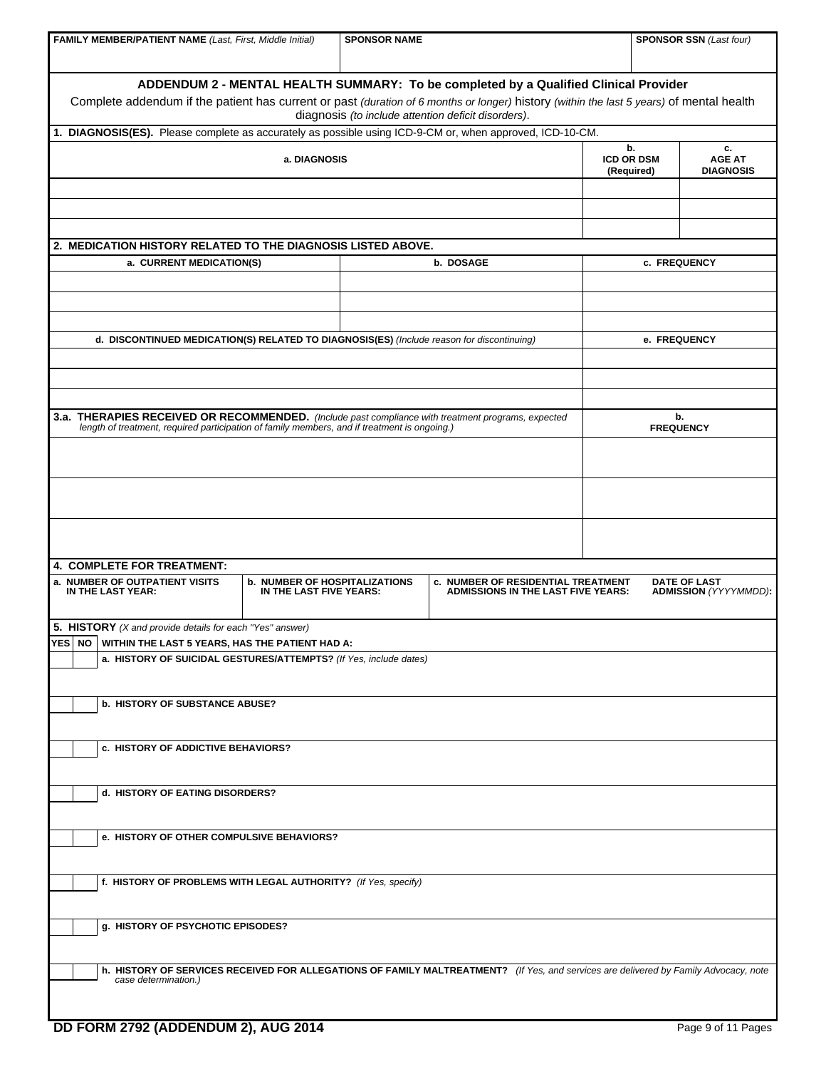| <b>FAMILY MEMBER/PATIENT NAME (Last, First, Middle Initial)</b>                                                                                                                                    |                                                                 | <b>SPONSOR NAME</b> |                                                                                                                                             |  | <b>SPONSOR SSN (Last four)</b>                      |  |  |  |
|----------------------------------------------------------------------------------------------------------------------------------------------------------------------------------------------------|-----------------------------------------------------------------|---------------------|---------------------------------------------------------------------------------------------------------------------------------------------|--|-----------------------------------------------------|--|--|--|
|                                                                                                                                                                                                    |                                                                 |                     |                                                                                                                                             |  |                                                     |  |  |  |
| Complete addendum if the patient has current or past (duration of 6 months or longer) history (within the last 5 years) of mental health                                                           |                                                                 |                     | ADDENDUM 2 - MENTAL HEALTH SUMMARY: To be completed by a Qualified Clinical Provider<br>diagnosis (to include attention deficit disorders). |  |                                                     |  |  |  |
| 1. DIAGNOSIS(ES). Please complete as accurately as possible using ICD-9-CM or, when approved, ICD-10-CM.                                                                                           |                                                                 |                     |                                                                                                                                             |  |                                                     |  |  |  |
|                                                                                                                                                                                                    | a. DIAGNOSIS                                                    |                     |                                                                                                                                             |  |                                                     |  |  |  |
|                                                                                                                                                                                                    |                                                                 |                     |                                                                                                                                             |  |                                                     |  |  |  |
|                                                                                                                                                                                                    |                                                                 |                     |                                                                                                                                             |  |                                                     |  |  |  |
| 2. MEDICATION HISTORY RELATED TO THE DIAGNOSIS LISTED ABOVE.                                                                                                                                       |                                                                 |                     |                                                                                                                                             |  |                                                     |  |  |  |
| a. CURRENT MEDICATION(S)                                                                                                                                                                           |                                                                 |                     | b. DOSAGE                                                                                                                                   |  | c. FREQUENCY                                        |  |  |  |
|                                                                                                                                                                                                    |                                                                 |                     |                                                                                                                                             |  |                                                     |  |  |  |
|                                                                                                                                                                                                    |                                                                 |                     |                                                                                                                                             |  |                                                     |  |  |  |
| d. DISCONTINUED MEDICATION(S) RELATED TO DIAGNOSIS(ES) (Include reason for discontinuing)                                                                                                          |                                                                 |                     |                                                                                                                                             |  | e. FREQUENCY                                        |  |  |  |
|                                                                                                                                                                                                    |                                                                 |                     |                                                                                                                                             |  |                                                     |  |  |  |
|                                                                                                                                                                                                    |                                                                 |                     |                                                                                                                                             |  |                                                     |  |  |  |
| 3.a. THERAPIES RECEIVED OR RECOMMENDED. (Include past compliance with treatment programs, expected<br>length of treatment, required participation of family members, and if treatment is ongoing.) |                                                                 |                     |                                                                                                                                             |  | b.<br><b>FREQUENCY</b>                              |  |  |  |
|                                                                                                                                                                                                    |                                                                 |                     |                                                                                                                                             |  |                                                     |  |  |  |
|                                                                                                                                                                                                    |                                                                 |                     |                                                                                                                                             |  |                                                     |  |  |  |
|                                                                                                                                                                                                    |                                                                 |                     |                                                                                                                                             |  |                                                     |  |  |  |
|                                                                                                                                                                                                    |                                                                 |                     |                                                                                                                                             |  |                                                     |  |  |  |
|                                                                                                                                                                                                    |                                                                 |                     |                                                                                                                                             |  |                                                     |  |  |  |
| 4. COMPLETE FOR TREATMENT:                                                                                                                                                                         |                                                                 |                     |                                                                                                                                             |  |                                                     |  |  |  |
| a. NUMBER OF OUTPATIENT VISITS<br>IN THE LAST YEAR:                                                                                                                                                | <b>b. NUMBER OF HOSPITALIZATIONS</b><br>IN THE LAST FIVE YEARS: |                     | c. NUMBER OF RESIDENTIAL TREATMENT<br><b>ADMISSIONS IN THE LAST FIVE YEARS:</b>                                                             |  | <b>DATE OF LAST</b><br><b>ADMISSION</b> (YYYYMMDD): |  |  |  |
| 5. HISTORY (X and provide details for each "Yes" answer)                                                                                                                                           |                                                                 |                     |                                                                                                                                             |  |                                                     |  |  |  |
| YES NO WITHIN THE LAST 5 YEARS, HAS THE PATIENT HAD A:<br>a. HISTORY OF SUICIDAL GESTURES/ATTEMPTS? (If Yes, include dates)                                                                        |                                                                 |                     |                                                                                                                                             |  |                                                     |  |  |  |
|                                                                                                                                                                                                    |                                                                 |                     |                                                                                                                                             |  |                                                     |  |  |  |
| <b>b. HISTORY OF SUBSTANCE ABUSE?</b>                                                                                                                                                              |                                                                 |                     |                                                                                                                                             |  |                                                     |  |  |  |
|                                                                                                                                                                                                    |                                                                 |                     |                                                                                                                                             |  |                                                     |  |  |  |
| c. HISTORY OF ADDICTIVE BEHAVIORS?                                                                                                                                                                 |                                                                 |                     |                                                                                                                                             |  |                                                     |  |  |  |
| d. HISTORY OF EATING DISORDERS?                                                                                                                                                                    |                                                                 |                     |                                                                                                                                             |  |                                                     |  |  |  |
| e. HISTORY OF OTHER COMPULSIVE BEHAVIORS?                                                                                                                                                          |                                                                 |                     |                                                                                                                                             |  |                                                     |  |  |  |
|                                                                                                                                                                                                    |                                                                 |                     |                                                                                                                                             |  |                                                     |  |  |  |
| f. HISTORY OF PROBLEMS WITH LEGAL AUTHORITY? (If Yes, specify)                                                                                                                                     |                                                                 |                     |                                                                                                                                             |  |                                                     |  |  |  |
| g. HISTORY OF PSYCHOTIC EPISODES?                                                                                                                                                                  |                                                                 |                     |                                                                                                                                             |  |                                                     |  |  |  |
|                                                                                                                                                                                                    |                                                                 |                     | h. HISTORY OF SERVICES RECEIVED FOR ALLEGATIONS OF FAMILY MALTREATMENT? (If Yes, and services are delivered by Family Advocacy, note        |  |                                                     |  |  |  |
| case determination.)                                                                                                                                                                               |                                                                 |                     |                                                                                                                                             |  |                                                     |  |  |  |
|                                                                                                                                                                                                    |                                                                 |                     |                                                                                                                                             |  |                                                     |  |  |  |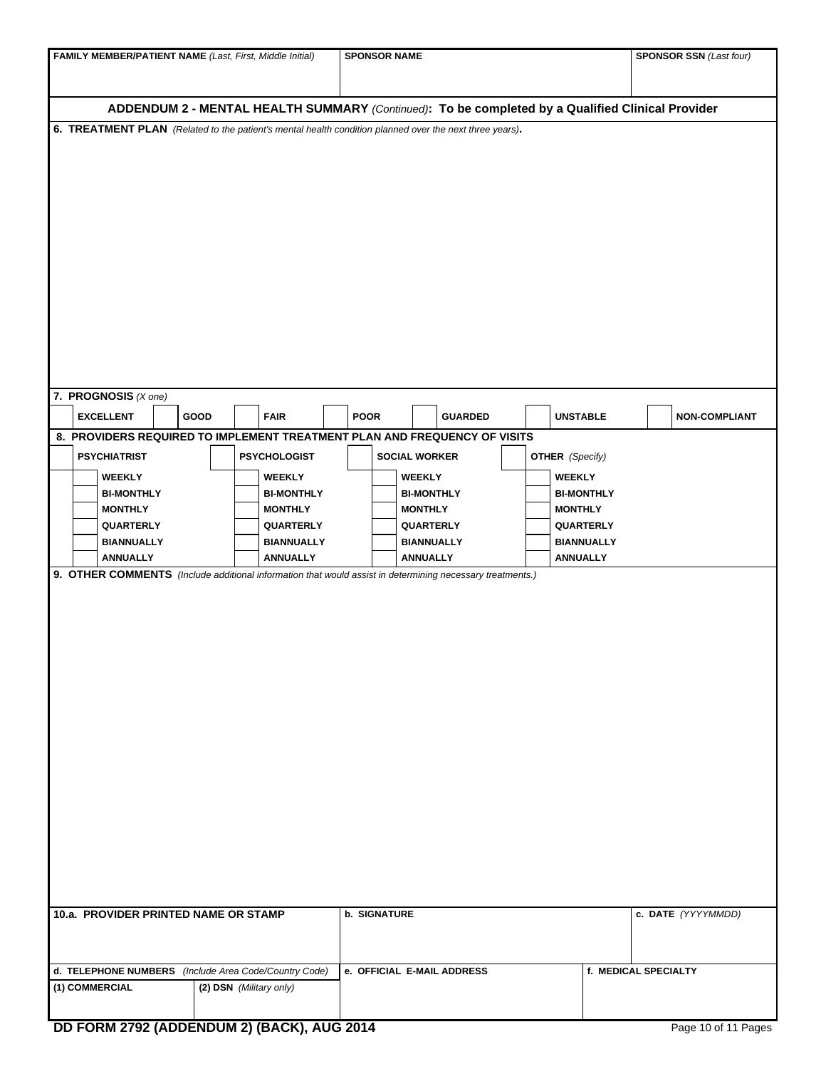| FAMILY MEMBER/PATIENT NAME (Last, First, Middle Initial)                                                  |                                    | <b>SPONSOR NAME</b> |                                    |                                    | <b>SPONSOR SSN (Last four)</b> |  |  |
|-----------------------------------------------------------------------------------------------------------|------------------------------------|---------------------|------------------------------------|------------------------------------|--------------------------------|--|--|
|                                                                                                           |                                    |                     |                                    |                                    |                                |  |  |
| ADDENDUM 2 - MENTAL HEALTH SUMMARY (Continued): To be completed by a Qualified Clinical Provider          |                                    |                     |                                    |                                    |                                |  |  |
| 6. TREATMENT PLAN (Related to the patient's mental health condition planned over the next three years).   |                                    |                     |                                    |                                    |                                |  |  |
|                                                                                                           |                                    |                     |                                    |                                    |                                |  |  |
|                                                                                                           |                                    |                     |                                    |                                    |                                |  |  |
|                                                                                                           |                                    |                     |                                    |                                    |                                |  |  |
|                                                                                                           |                                    |                     |                                    |                                    |                                |  |  |
|                                                                                                           |                                    |                     |                                    |                                    |                                |  |  |
|                                                                                                           |                                    |                     |                                    |                                    |                                |  |  |
|                                                                                                           |                                    |                     |                                    |                                    |                                |  |  |
|                                                                                                           |                                    |                     |                                    |                                    |                                |  |  |
|                                                                                                           |                                    |                     |                                    |                                    |                                |  |  |
|                                                                                                           |                                    |                     |                                    |                                    |                                |  |  |
|                                                                                                           |                                    |                     |                                    |                                    |                                |  |  |
|                                                                                                           |                                    |                     |                                    |                                    |                                |  |  |
|                                                                                                           |                                    |                     |                                    |                                    |                                |  |  |
| 7. PROGNOSIS $(X \text{ one})$                                                                            |                                    |                     |                                    |                                    |                                |  |  |
| <b>EXCELLENT</b><br>GOOD                                                                                  | <b>FAIR</b>                        | <b>POOR</b>         | <b>GUARDED</b>                     | <b>UNSTABLE</b>                    | <b>NON-COMPLIANT</b>           |  |  |
| 8. PROVIDERS REQUIRED TO IMPLEMENT TREATMENT PLAN AND FREQUENCY OF VISITS                                 |                                    |                     |                                    |                                    |                                |  |  |
| <b>PSYCHIATRIST</b>                                                                                       | <b>PSYCHOLOGIST</b>                |                     | <b>SOCIAL WORKER</b>               |                                    |                                |  |  |
|                                                                                                           |                                    |                     |                                    | <b>OTHER</b> (Specify)             |                                |  |  |
| <b>WEEKLY</b><br><b>BI-MONTHLY</b>                                                                        | <b>WEEKLY</b><br><b>BI-MONTHLY</b> |                     | <b>WEEKLY</b><br><b>BI-MONTHLY</b> | <b>WEEKLY</b><br><b>BI-MONTHLY</b> |                                |  |  |
| <b>MONTHLY</b>                                                                                            | <b>MONTHLY</b>                     |                     | <b>MONTHLY</b>                     | <b>MONTHLY</b>                     |                                |  |  |
| QUARTERLY                                                                                                 | QUARTERLY                          |                     | <b>QUARTERLY</b>                   | QUARTERLY                          |                                |  |  |
| <b>BIANNUALLY</b>                                                                                         | <b>BIANNUALLY</b>                  |                     | <b>BIANNUALLY</b>                  | <b>BIANNUALLY</b>                  |                                |  |  |
| <b>ANNUALLY</b>                                                                                           | <b>ANNUALLY</b>                    |                     | <b>ANNUALLY</b>                    | <b>ANNUALLY</b>                    |                                |  |  |
| 9. OTHER COMMENTS (Include additional information that would assist in determining necessary treatments.) |                                    |                     |                                    |                                    |                                |  |  |
|                                                                                                           |                                    |                     |                                    |                                    |                                |  |  |
|                                                                                                           |                                    |                     |                                    |                                    |                                |  |  |
|                                                                                                           |                                    |                     |                                    |                                    |                                |  |  |
|                                                                                                           |                                    |                     |                                    |                                    |                                |  |  |
|                                                                                                           |                                    |                     |                                    |                                    |                                |  |  |
|                                                                                                           |                                    |                     |                                    |                                    |                                |  |  |
|                                                                                                           |                                    |                     |                                    |                                    |                                |  |  |
|                                                                                                           |                                    |                     |                                    |                                    |                                |  |  |
|                                                                                                           |                                    |                     |                                    |                                    |                                |  |  |
|                                                                                                           |                                    |                     |                                    |                                    |                                |  |  |
|                                                                                                           |                                    |                     |                                    |                                    |                                |  |  |
|                                                                                                           |                                    |                     |                                    |                                    |                                |  |  |
|                                                                                                           |                                    |                     |                                    |                                    |                                |  |  |
|                                                                                                           |                                    |                     |                                    |                                    |                                |  |  |
|                                                                                                           |                                    |                     |                                    |                                    |                                |  |  |
|                                                                                                           |                                    |                     |                                    |                                    |                                |  |  |
|                                                                                                           |                                    |                     |                                    |                                    |                                |  |  |
| 10.a. PROVIDER PRINTED NAME OR STAMP                                                                      |                                    | <b>b. SIGNATURE</b> |                                    |                                    | c. DATE (YYYYMMDD)             |  |  |
|                                                                                                           |                                    |                     |                                    |                                    |                                |  |  |
|                                                                                                           |                                    |                     |                                    |                                    |                                |  |  |
| d. TELEPHONE NUMBERS (Include Area Code/Country Code)                                                     |                                    |                     | e. OFFICIAL E-MAIL ADDRESS         |                                    | f. MEDICAL SPECIALTY           |  |  |
| (1) COMMERCIAL                                                                                            | (2) DSN (Military only)            |                     |                                    |                                    |                                |  |  |
|                                                                                                           |                                    |                     |                                    |                                    |                                |  |  |
| DD FORM 2792 (ADDENDUM 2) (BACK), AUG 2014                                                                |                                    |                     |                                    |                                    | Page 10 of 11 Pages            |  |  |